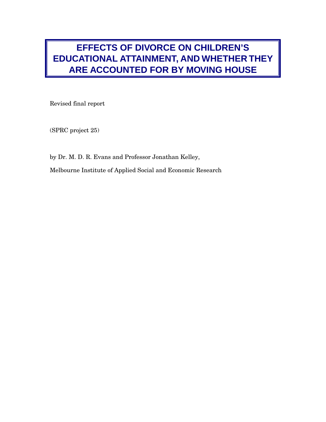# **EFFECTS OF DIVORCE ON CHILDREN'S EDUCATIONAL ATTAINMENT, AND WHETHER THEY ARE ACCOUNTED FOR BY MOVING HOUSE**

Revised final report

(SPRC project 25)

by Dr. M. D. R. Evans and Professor Jonathan Kelley,

Melbourne Institute of Applied Social and Economic Research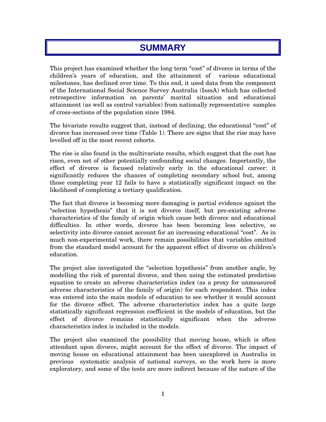# **SUMMARY**

This project has examined whether the long term "cost" of divorce in terms of the children's years of education, and the attainment of various educational milestones, has declined over time. To this end, it used data from the component of the International Social Science Survey Australia (IsssA) which has collected retrospective information on parents' marital situation and educational attainment (as well as control variables) from nationally representative samples of cross-sections of the population since 1984.

The bivariate results suggest that, instead of declining, the educational "cost" of divorce has increased over time (Table 1). There are signs that the rise may have levelled off in the most recent cohorts.

The rise is also found in the multivariate results, which suggest that the cost has risen, even net of other potentially confounding social changes. Importantly, the effect of divorce is focused relatively early in the educational career: it significantly reduces the chances of completing secondary school but, among those completing year 12 fails to have a statistically significant impact on the likelihood of completing a tertiary qualification.

The fact that divorce is becoming more damaging is partial evidence against the "selection hypothesis" that it is not divorce itself, but pre-existing adverse characteristics of the family of origin which cause both divorce and educational difficulties. In other words, divorce has been becoming less selective, so selectivity into divorce cannot account for an increasing educational "cost". As in much non-experimental work, there remain possibilities that variables omitted from the standard model account for the apparent effect of divorce on children's education.

The project also investigated the "selection hypothesis" from another angle, by modelling the risk of parental divorce, and then using the estimated prediction equation to create an adverse characteristics index (as a proxy for unmeasured adverse characteristics of the family of origin) for each respondent. This index was entered into the main models of education to see whether it would account for the divorce effect. The adverse characteristics index has a quite large statistically significant regression coefficient in the models of education, but the effect of divorce remains statistically significant when the adverse characteristics index is included in the models.

The project also examined the possibility that moving house, which is often attendant upon divorce, might account for the effect of divorce. The impact of moving house on educational attainment has been unexplored in Australia in previous systematic analysis of national surveys, so the work here is more exploratory, and some of the tests are more indirect because of the nature of the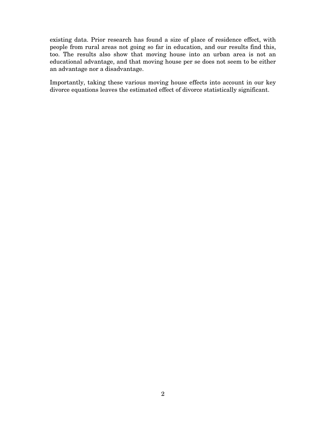existing data. Prior research has found a size of place of residence effect, with people from rural areas not going so far in education, and our results find this, too. The results also show that moving house into an urban area is not an educational advantage, and that moving house per se does not seem to be either an advantage nor a disadvantage.

Importantly, taking these various moving house effects into account in our key divorce equations leaves the estimated effect of divorce statistically significant.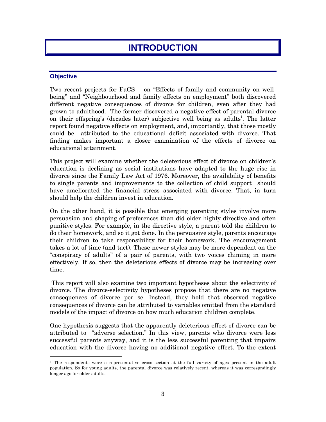# **INTRODUCTION**

## **Objective**

Two recent projects for FaCS – on "Effects of family and community on wellbeing" and "Neighbourhood and family effects on employment" both discovered different negative consequences of divorce for children, even after they had grown to adulthood. The former discovered a negative effect of parental divorce on their offspring's (decades later) subjective well being as adults<sup>1</sup>. The latter report found negative effects on employment, and, importantly, that those mostly could be attributed to the educational deficit associated with divorce. That finding makes important a closer examination of the effects of divorce on educational attainment.

This project will examine whether the deleterious effect of divorce on children's education is declining as social institutions have adapted to the huge rise in divorce since the Family Law Act of 1976. Moreover, the availability of benefits to single parents and improvements to the collection of child support should have ameliorated the financial stress associated with divorce. That, in turn should help the children invest in education.

On the other hand, it is possible that emerging parenting styles involve more persuasion and shaping of preferences than did older highly directive and often punitive styles. For example, in the directive style, a parent told the children to do their homework, and so it got done. In the persuasive style, parents encourage their children to take responsibility for their homework. The encouragement takes a lot of time (and tact). These newer styles may be more dependent on the "conspiracy of adults" of a pair of parents, with two voices chiming in more effectively. If so, then the deleterious effects of divorce may be increasing over time.

 This report will also examine two important hypotheses about the selectivity of divorce. The divorce-selectivity hypotheses propose that there are no negative consequences of divorce per se. Instead, they hold that observed negative consequences of divorce can be attributed to variables omitted from the standard models of the impact of divorce on how much education children complete.

One hypothesis suggests that the apparently deleterious effect of divorce can be attributed to "adverse selection." In this view, parents who divorce were less successful parents anyway, and it is the less successful parenting that impairs education with the divorce having no additional negative effect. To the extent

 $1$  The respondents were a representative cross section at the full variety of ages present in the adult population. So for young adults, the parental divorce was relatively recent, whereas it was correspndingly longer ago for older adults.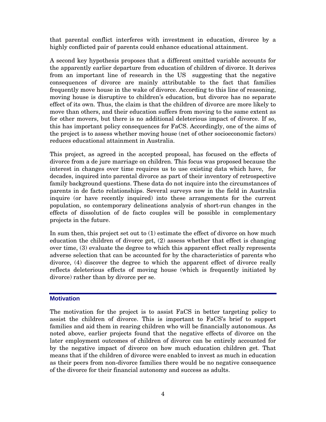that parental conflict interferes with investment in education, divorce by a highly conflicted pair of parents could enhance educational attainment.

A second key hypothesis proposes that a different omitted variable accounts for the apparently earlier departure from education of children of divorce. It derives from an important line of research in the US suggesting that the negative consequences of divorce are mainly attributable to the fact that families frequently move house in the wake of divorce. According to this line of reasoning, moving house is disruptive to children's education, but divorce has no separate effect of its own. Thus, the claim is that the children of divorce are more likely to move than others, and their education suffers from moving to the same extent as for other movers, but there is no additional deleterious impact of divorce. If so, this has important policy consequences for FaCS. Accordingly, one of the aims of the project is to assess whether moving house (net of other socioeconomic factors) reduces educational attainment in Australia.

This project, as agreed in the accepted proposal, has focused on the effects of divorce from a de jure marriage on children. This focus was proposed because the interest in changes over time requires us to use existing data which have, for decades, inquired into parental divorce as part of their inventory of retrospective family background questions. These data do not inquire into the circumstances of parents in de facto relationships. Several surveys now in the field in Australia inquire (or have recently inquired) into these arrangements for the current population, so contemporary delineations analysis of short-run changes in the effects of dissolution of de facto couples will be possible in complementary projects in the future.

In sum then, this project set out to (1) estimate the effect of divorce on how much education the children of divorce get, (2) assess whether that effect is changing over time, (3) evaluate the degree to which this apparent effect really represents adverse selection that can be accounted for by the characteristics of parents who divorce, (4) discover the degree to which the apparent effect of divorce really reflects deleterious effects of moving house (which is frequently initiated by divorce) rather than by divorce per se.

## **Motivation**

The motivation for the project is to assist FaCS in better targeting policy to assist the children of divorce. This is important to FaCS's brief to support families and aid them in rearing children who will be financially autonomous. As noted above, earlier projects found that the negative effects of divorce on the later employment outcomes of children of divorce can be entirely accounted for by the negative impact of divorce on how much education children get. That means that if the children of divorce were enabled to invest as much in education as their peers from non-divorce families there would be no negative consequence of the divorce for their financial autonomy and success as adults.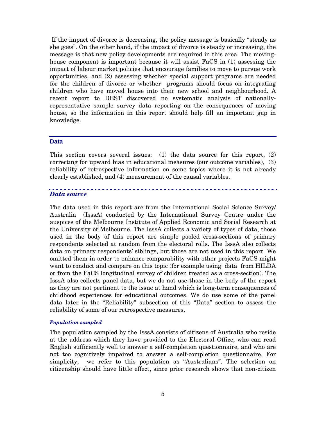If the impact of divorce is decreasing, the policy message is basically "steady as she goes". On the other hand, if the impact of divorce is steady or increasing, the message is that new policy developments are required in this area. The movinghouse component is important because it will assist FaCS in (1) assessing the impact of labour market policies that encourage families to move to pursue work opportunities, and (2) assessing whether special support programs are needed for the children of divorce or whether programs should focus on integrating children who have moved house into their new school and neighbourhood. A recent report to DEST discovered no systematic analysis of nationallyrepresentative sample survey data reporting on the consequences of moving house, so the information in this report should help fill an important gap in knowledge.

## **Data**

This section covers several issues: (1) the data source for this report,  $(2)$ correcting for upward bias in educational measures (our outcome variables), (3) reliability of retrospective information on some topics where it is not already clearly established, and (4) measurement of the causal variables.

## *Data source*

The data used in this report are from the International Social Science Survey/ Australia (IsssA) conducted by the International Survey Centre under the auspices of the Melbourne Institute of Applied Economic and Social Research at the University of Melbourne. The IsssA collects a variety of types of data, those used in the body of this report are simple pooled cross-sections of primary respondents selected at random from the electoral rolls. The IsssA also collects data on primary respondents' siblings, but those are not used in this report. We omitted them in order to enhance comparability with other projects FaCS might want to conduct and compare on this topic (for example using data from HILDA or from the FaCS longitudinal survey of children treated as a cross-section). The IsssA also collects panel data, but we do not use those in the body of the report as they are not pertinent to the issue at hand which is long-term consequences of childhood experiences for educational outcomes. We do use some of the panel data later in the "Reliability" subsection of this "Data" section to assess the reliability of some of our retrospective measures.

#### *Population sampled*

The population sampled by the IsssA consists of citizens of Australia who reside at the address which they have provided to the Electoral Office, who can read English sufficiently well to answer a self-completion questionnaire, and who are not too cognitively impaired to answer a self-completion questionnaire. For simplicity, we refer to this population as "Australians". The selection on citizenship should have little effect, since prior research shows that non-citizen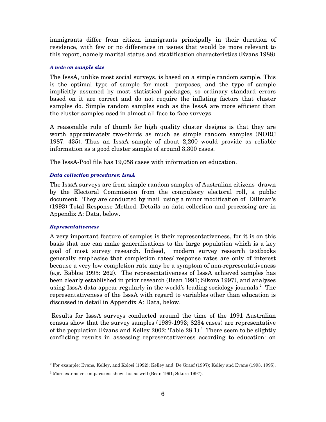immigrants differ from citizen immigrants principally in their duration of residence, with few or no differences in issues that would be more relevant to this report, namely marital status and stratification characteristics (Evans 1988)

## *A note on sample size*

The IsssA, unlike most social surveys, is based on a simple random sample. This is the optimal type of sample for most purposes, and the type of sample implicitly assumed by most statistical packages, so ordinary standard errors based on it are correct and do not require the inflating factors that cluster samples do. Simple random samples such as the IsssA are more efficient than the cluster samples used in almost all face-to-face surveys.

A reasonable rule of thumb for high quality cluster designs is that they are worth approximately two-thirds as much as simple random samples (NORC 1987: 435). Thus an IsssA sample of about 2,200 would provide as reliable information as a good cluster sample of around 3,300 cases.

The IsssA-Pool file has 19,058 cases with information on education.

## *Data collection procedures: IsssA*

The IsssA surveys are from simple random samples of Australian citizens drawn by the Electoral Commission from the compulsory electoral roll, a public document. They are conducted by mail using a minor modification of Dillman's (1993) Total Response Method. Details on data collection and processing are in Appendix A: Data, below.

## *Representativeness*

A very important feature of samples is their representativeness, for it is on this basis that one can make generalisations to the large population which is a key goal of most survey research. Indeed, modern survey research textbooks generally emphasise that completion rates/ response rates are only of interest because a very low completion rate may be a symptom of non-representativeness (e.g. Babbie 1995: 262). The representativeness of IsssA achieved samples has been clearly established in prior research (Bean 1991; Sikora 1997), and analyses using IsssA data appear regularly in the world's leading sociology journals.<sup>2</sup> The representativeness of the IsssA with regard to variables other than education is discussed in detail in Appendix A: Data, below.

 Results for IsssA surveys conducted around the time of the 1991 Australian census show that the survey samples (1989-1993; 8234 cases) are representative of the population (Evans and Kelley 2002: Table  $28.1$ ).<sup>3</sup> There seem to be slightly conflicting results in assessing representativeness according to education: on

<sup>2</sup> For example: Evans, Kelley, and Kolosi (1992); Kelley and De Graaf (1997); Kelley and Evans (1993, 1995).

<sup>3</sup> More extensive comparisons show this as well (Bean 1991; Sikora 1997).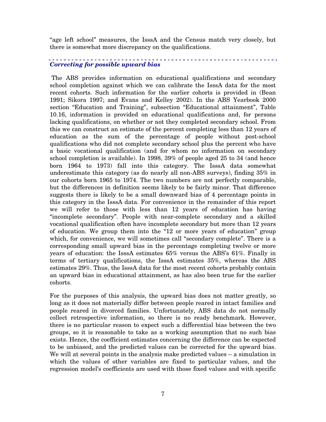"age left school" measures, the IsssA and the Census match very closely, but there is somewhat more discrepancy on the qualifications.

 $\frac{1}{2} \left( \frac{1}{2} \right) \left( \frac{1}{2} \right) \left( \frac{1}{2} \right) \left( \frac{1}{2} \right) \left( \frac{1}{2} \right) \left( \frac{1}{2} \right)$ 

## *Correcting for possible upward bias*

 The ABS provides information on educational qualifications and secondary school completion against which we can calibrate the IsssA data for the most recent cohorts. Such information for the earlier cohorts is provided in (Bean 1991; Sikora 1997; and Evans and Kelley 2002). In the ABS Yearbook 2000 section "Education and Training", subsection "Educational attainment", Table 10.16, information is provided on educational qualifications and, for persons lacking qualifications, on whether or not they completed secondary school. From this we can construct an estimate of the percent completing less than 12 years of education as the sum of the percentage of people without post-school qualifications who did not complete secondary school plus the percent who have a basic vocational qualification (and for whom no information on secondary school completion is available). In 1998, 39% of people aged 25 to 34 (and hence born 1964 to 1973) fall into this category. The IsssA data somewhat underestimate this category (as do nearly all non-ABS surveys), finding 35% in our cohorts born 1965 to 1974. The two numbers are not perfectly comparable, but the differences in definition seems likely to be fairly minor. That difference suggests there is likely to be a small downward bias of 4 percentage points in this category in the IsssA data. For convenience in the remainder of this report we will refer to those with less than 12 years of education has having "incomplete secondary". People with near-complete secondary and a skilled vocational qualification often have incomplete secondary but more than 12 years of education. We group them into the "12 or more years of education" group which, for convenience, we will sometimes call "secondary complete". There is a corresponding small upward bias in the percentage completing twelve or more years of education: the IsssA estimates 65% versus the ABS's 61%. Finally in terms of tertiary qualifications, the IsssA estimates 35%, whereas the ABS estimates 29%. Thus, the IsssA data for the most recent cohorts probably contain an upward bias in educational attainment, as has also been true for the earlier cohorts.

For the purposes of this analysis, the upward bias does not matter greatly, so long as it does not materially differ between people reared in intact families and people reared in divorced families. Unfortunately, ABS data do not normally collect retrospective information, so there is no ready benchmark. However, there is no particular reason to expect such a differential bias between the two groups, so it is reasonable to take as a working assumption that no such bias exists. Hence, the coefficient estimates concerning the difference can be expected to be unbiased, and the predicted values can be corrected for the upward bias. We will at several points in the analysis make predicted values – a simulation in which the values of other variables are fixed to particular values, and the regression model's coefficients are used with those fixed values and with specific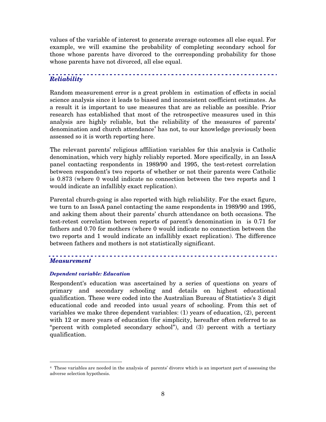values of the variable of interest to generate average outcomes all else equal. For example, we will examine the probability of completing secondary school for those whose parents have divorced to the corresponding probability for those whose parents have not divorced, all else equal.

# *Reliability*

Random measurement error is a great problem in estimation of effects in social science analysis since it leads to biased and inconsistent coefficient estimates. As a result it is important to use measures that are as reliable as possible. Prior research has established that most of the retrospective measures used in this analysis are highly reliable, but the reliability of the measures of parents' denomination and church attendance<sup>4</sup> has not, to our knowledge previously been assessed so it is worth reporting here.

The relevant parents' religious affiliation variables for this analysis is Catholic denomination, which very highly reliably reported. More specifically, in an IsssA panel contacting respondents in 1989/90 and 1995, the test-retest correlation between respondent's two reports of whether or not their parents were Catholic is 0.873 (where 0 would indicate no connection between the two reports and 1 would indicate an infallibly exact replication).

Parental church-going is also reported with high reliability. For the exact figure, we turn to an IsssA panel contacting the same respondents in 1989/90 and 1995, and asking them about their parents' church attendance on both occasions. The test-retest correlation between reports of parent's denomination in is 0.71 for fathers and 0.70 for mothers (where 0 would indicate no connection between the two reports and 1 would indicate an infallibly exact replication). The difference between fathers and mothers is not statistically significant.

## *Measurement*

### *Dependent variable: Education*

Respondent's education was ascertained by a series of questions on years of primary and secondary schooling and details on highest educational qualification. These were coded into the Australian Bureau of Statistics's 3 digit educational code and recoded into usual years of schooling. From this set of variables we make three dependent variables: (1) years of education, (2), percent with 12 or more years of education (for simplicity, hereafter often referred to as "percent with completed secondary school"), and (3) percent with a tertiary qualification.

<sup>4</sup> These variables are needed in the analysis of parents' divorce which is an important part of assessing the adverse selection hypothesis.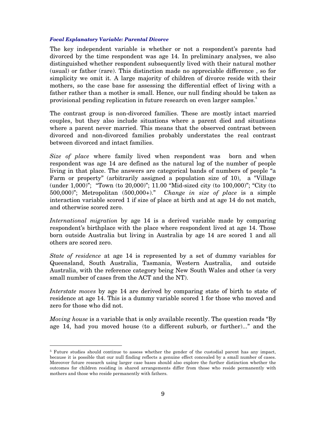#### *Focal Explanatory Variable: Parental Divorce*

The key independent variable is whether or not a respondent's parents had divorced by the time respondent was age 14. In preliminary analyses, we also distinguished whether respondent subsequently lived with their natural mother (usual) or father (rare). This distinction made no appreciable difference , so for simplicity we omit it. A large majority of children of divorce reside with their mothers, so the case base for assessing the differential effect of living with a father rather than a mother is small. Hence, our null finding should be taken as provisional pending replication in future research on even larger samples.<sup>5</sup>

The contrast group is non-divorced families. These are mostly intact married couples, but they also include situations where a parent died and situations where a parent never married. This means that the observed contrast between divorced and non-divorced families probably understates the real contrast between divorced and intact families.

*Size of place* where family lived when respondent was born and when respondent was age 14 are defined as the natural log of the number of people living in that place. The answers are categorical bands of numbers of people "a Farm or property" (arbitrarily assigned a population size of 10), a "Village (under 1,000)"; "Town (to 20,000)"; 11.00 "Mid-sized city (to 100,000)"; "City (to 500,000)"; Metropolitan (500,000+)." *Change in size of place* is a simple interaction variable scored 1 if size of place at birth and at age 14 do not match, and otherwise scored zero.

*International migration* by age 14 is a derived variable made by comparing respondent's birthplace with the place where respondent lived at age 14. Those born outside Australia but living in Australia by age 14 are scored 1 and all others are scored zero.

*State of residence* at age 14 is represented by a set of dummy variables for Queensland, South Australia, Tasmania, Western Australia, and outside Australia, with the reference category being New South Wales and other (a very small number of cases from the ACT and the NT).

*Interstate moves* by age 14 are derived by comparing state of birth to state of residence at age 14. This is a dummy variable scored 1 for those who moved and zero for those who did not.

*Moving house* is a variable that is only available recently. The question reads "By age 14, had you moved house (to a different suburb, or further)..." and the

<sup>&</sup>lt;sup>5</sup> Future studies should continue to assess whether the gender of the custodial parent has any impact, because it is possible that our null finding reflects a genuine effect concealed by a small number of cases. Moreover future research using larger case bases should also explore the further distinction whether the outcomes for children residing in shared arrangements differ from those who reside permanently with mothers and those who reside permanently with fathers.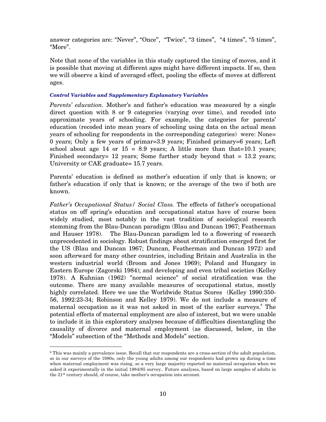answer categories are: "Never", "Once", "Twice", "3 times", "4 times", "5 times", "More".

Note that none of the variables in this study captured the timing of moves, and it is possible that moving at different ages might have different impacts. If so, then we will observe a kind of averaged effect, pooling the effects of moves at different ages.

### *Control Variables and Supplementary Explanatory Variables*

*Parents' education.* Mother's and father's education was measured by a single direct question with 8 or 9 categories (varying over time), and recoded into approximate years of schooling. For example, the categories for parents' education (recoded into mean years of schooling using data on the actual mean years of schooling for respondents in the corresponding categories) were: None= 0 years; Only a few years of primar=3.9 years; Finished primary=6 years; Left school about age 14 or  $15 = 8.9$  years; A little more than that=10.1 years; Finished secondary= 12 years; Some further study beyond that = 13.2 years; University or CAE graduate= 15.7 years.

Parents' education is defined as mother's education if only that is known; or father's education if only that is known; or the average of the two if both are known.

*Father's Occupational Status/ Social Class.* The effects of father's occupational status on off spring's education and occupational status have of course been widely studied, most notably in the vast tradition of sociological research stemming from the Blau-Duncan paradigm (Blau and Duncan 1967; Featherman and Hauser 1978). The Blau-Duncan paradigm led to a flowering of research unprecedented in sociology. Robust findings about stratification emerged first for the US (Blau and Duncan 1967; Duncan, Featherman and Duncan 1972) and soon afterward for many other countries, including Britain and Australia in the western industrial world (Broom and Jones 1969); Poland and Hungary in Eastern Europe (Zagorski 1984); and developing and even tribal societies (Kelley 1978). A Kuhnian (1962) "normal science" of social stratification was the outcome. There are many available measures of occupational status, mostly highly correlated. Here we use the Worldwide Status Scores (Kelley 1990:350-56, 1992:23-34; Robinson and Kelley 1979). We do not include a measure of maternal occupation as it was not asked in most of the earlier surveys.<sup>6</sup> The potential effects of maternal employment are also of interest, but we were unable to include it in this exploratory analyses because of difficulties disentangling the causality of divorce and maternal employment (as discussed, below, in the "Models" subsection of the "Methods and Models" section.

<sup>6</sup> This was mainly a prevalence issue. Recall that our respondents are a cross-section of the adult population, so in our surveys of the 1980s, only the young adults among our respondents had grown up during a time when maternal employment was rising, so a very large majority reported no maternal occupation when we asked it experimentally in the initial 1984/85 survey.. Future analyses, based on large samples of adults in the 21st century should, of course, take mother's occupation into account.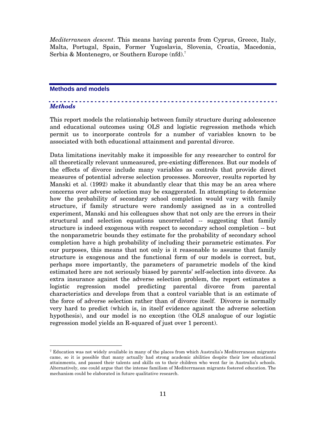*Mediterranean descent*. This means having parents from Cyprus, Greece, Italy, Malta, Portugal, Spain, Former Yugoslavia, Slovenia, Croatia, Macedonia, Serbia & Montenegro, or Southern Europe (nfd).<sup>7</sup>

## **Methods and models**

## *Methods*

This report models the relationship between family structure during adolescence and educational outcomes using OLS and logistic regression methods which permit us to incorporate controls for a number of variables known to be associated with both educational attainment and parental divorce.

Data limitations inevitably make it impossible for any researcher to control for all theoretically relevant unmeasured, pre-existing differences. But our models of the effects of divorce include many variables as controls that provide direct measures of potential adverse selection processes. Moreover, results reported by Manski et al. (1992) make it abundantly clear that this may be an area where concerns over adverse selection may be exaggerated. In attempting to determine how the probability of secondary school completion would vary with family structure, if family structure were randomly assigned as in a controlled experiment, Manski and his colleagues show that not only are the errors in their structural and selection equations uncorrelated -- suggesting that family structure is indeed exogenous with respect to secondary school completion -- but the nonparametric bounds they estimate for the probability of secondary school completion have a high probability of including their parametric estimates. For our purposes, this means that not only is it reasonable to assume that family structure is exogenous and the functional form of our models is correct, but, perhaps more importantly, the parameters of parametric models of the kind estimated here are not seriously biased by parents' self-selection into divorce. As extra insurance against the adverse selection problem, the report estimates a logistic regression model predicting parental divorce from parental characteristics and develops from that a control variable that is an estimate of the force of adverse selection rather than of divorce itself. Divorce is normally very hard to predict (which is, in itself evidence against the adverse selection hypothesis), and our model is no exception (the OLS analogue of our logistic regression model yields an R-squared of just over 1 percent).

 $7$  Education was not widely available in many of the places from which Australia's Mediterranean migrants came, so it is possible that many actually had strong academic abilities despite their low educational attainments, and passed their talents and skills on to their children who went far in Australia's schools. Alternatively, one could argue that the intense familism of Mediterrnaean migrants fostered education. The mechanism could be elaborated in future qualitative research.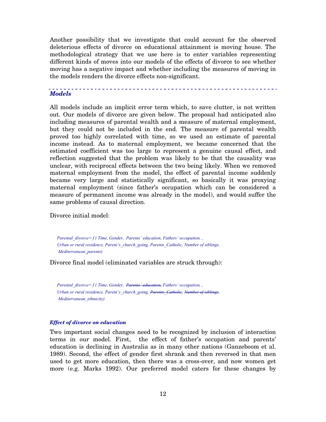Another possibility that we investigate that could account for the observed deleterious effects of divorce on educational attainment is moving house. The methodological strategy that we use here is to enter variables representing different kinds of moves into our models of the effects of divorce to see whether moving has a negative impact and whether including the measures of moving in the models renders the divorce effects non-significant.

## *Models*

All models include an implicit error term which, to save clutter, is not written out. Our models of divorce are given below. The proposal had anticipated also including measures of parental wealth and a measure of maternal employment, but they could not be included in the end. The measure of parental wealth proved too highly correlated with time, so we used an estimate of parental income instead. As to maternal employment, we became concerned that the estimated coefficient was too large to represent a genuine causal effect, and reflection suggested that the problem was likely to be that the causality was unclear, with reciprocal effects between the two being likely. When we removed maternal employment from the model, the effect of parental income suddenly became very large and statistically significant, so basically it was proxying maternal employment (since father's occupation which can be considered a measure of permanent income was already in the model), and would suffer the same problems of causal direction.

Divorce initial model:

*Parental\_divorce= f ( Time, Gender, Parents' education, Fathers' occupation, , Urban or rural residence, Parent's\_church\_going, Parents\_Catholic, Number of siblings, Mediterranean\_parents)* 

Divorce final model (eliminated variables are struck through):

*Parental\_divorce= f ( Time, Gender, Parents' education, Fathers' occupation, , Urban or rural residence, Parent's\_church\_going, Parents\_Catholic, Number of siblings, Mediterranean\_ethnicity)* 

### *Effect of divorce on education*

Two important social changes need to be recognized by inclusion of interaction terms in our model. First, the effect of father's occupation and parents' education is declining in Australia as in many other nations (Ganzeboom et al. 1989). Second, the effect of gender first shrank and then reversed in that men used to get more education, then there was a cross-over, and now women get more (e.g. Marks 1992). Our preferred model caters for these changes by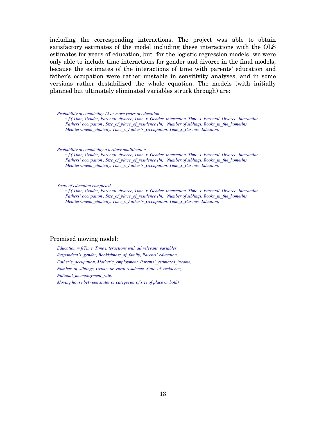including the corresponding interactions. The project was able to obtain satisfactory estimates of the model including these interactions with the OLS estimates for years of education, but for the logistic regression models we were only able to include time interactions for gender and divorce in the final models, because the estimates of the interactions of time with parents' education and father's occupation were rather unstable in sensitivity analyses, and in some versions rather destabilized the whole equation. The models (with initially planned but ultimately eliminated variables struck through) are:

*Probability of completing 12 or more years of education* 

*= f ( Time, Gender, Parental\_divorce, Time\_x\_Gender\_Interaction, Time\_x\_Parental\_Divorce\_Interaction. Fathers' occupation , Size\_of\_place\_of\_residence (ln), Number of siblings, Books\_in\_the\_home(ln), Mediterranean\_ethnicity, Time\_x\_Father's\_Occupation, Time\_x\_Parents' Eduation)*

*Probability of completing a tertiary qualification* 

*= f ( Time, Gender, Parental\_divorce, Time\_x\_Gender\_Interaction, Time\_x\_Parental\_Divorce\_Interaction. Fathers' occupation , Size of place of residence (ln), Number of siblings, Books\_in\_the\_home(ln), Mediterranean\_ethnicity, Time\_x\_Father's\_Occupation, Time\_x\_Parents' Eduation)*

*Years of education completed* 

*= f ( Time, Gender, Parental\_divorce, Time\_x\_Gender\_Interaction, Time\_x\_Parental\_Divorce\_Interaction. Fathers' occupation , Size\_of\_place\_of\_residence (ln), Number of siblings, Books\_in\_the\_home(ln), Mediterranean\_ethnicity, Time\_x\_Father's\_Occupation, Time\_x\_Parents' Eduation)* 

#### Promised moving model:

*Education = f(Time, Time interactions with all relevant variables Respondent's\_gender, Bookishness\_of\_family, Parents' education, Father's\_occupation, Mother's\_employment, Parents'\_estimated\_income, Number\_of\_siblings, Urban\_or\_rural residence, State\_of\_residence, National\_unemployment\_rate, Moving house between states or categories of size of place or both)*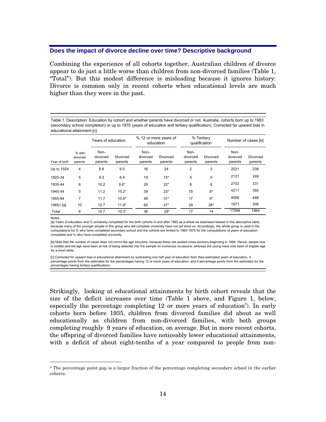## **Does the impact of divorce decline over time? Descriptive background**

Combining the experience of all cohorts together, Australian children of divorce appear to do just a little worse than children from non-divorced families (Table 1, "Total"). But this modest difference is misleading because it ignores history: Divorce is common only in recent cohorts when educational levels are much higher than they were in the past.

Table 1. Description: Education by cohort and whether parents have divorced or not. Australia, cohorts born up to 1983 (secondary school completion) or up to 1975 (years of education and tertiary qualification). Corrected for upward bias in educational attainment.[c]

|               |                               | Years of education          |                     | % 12 or more years of<br>education |                     | % Tertiary<br>qualification |                     | Number of cases [b]         |                     |
|---------------|-------------------------------|-----------------------------|---------------------|------------------------------------|---------------------|-----------------------------|---------------------|-----------------------------|---------------------|
| Year of birth | % with<br>divorced<br>parents | Non-<br>divorced<br>parents | Divorced<br>parents | Non-<br>divorced<br>parents        | Divorced<br>parents | Non-<br>divorced<br>parents | Divorced<br>parents | Non-<br>divorced<br>parents | Divorced<br>parents |
| Up to 1924    | 4                             | 8.6                         | 9.5                 | 16                                 | 24                  | 2                           | 3                   | 2021                        | 238                 |
| 1925-34       | 5                             | 9.3                         | 8.9                 | 19                                 | $15*$               | 4                           | 0                   | 2131                        | 249                 |
| 1935-44       | 6                             | 10.2                        | $9.6*$              | 28                                 | $22*$               | 8                           | 6                   | 2702                        | 331                 |
| 1945-54       | 5                             | 11.2                        | $10.2*$             | 39                                 | $23*$               | 15                          | $8*$                | 4211                        | 392                 |
| 1955-64       | $\overline{7}$                | 11.7                        | $10.9*$             | 48                                 | $31*$               | 17                          | $9*$                | 4058                        | 448                 |
| $1965 + [a]$  | 10                            | 12.7                        | $11.9*$             | 62                                 | $47*$               | 29                          | $26*$               | 1971                        | 306                 |
| Total         | 6                             | 10.7                        | $10.3*$             | 36                                 | $29*$               | 17                          | 14                  | 17094                       | 1964                |

Notes:

[a] Years of education and % university completed for the birth cohorts in and after 1965 as a whole be downward biased in this descriptive table, because many of the younger people in this group who will complete university have not yet done so. Accordingly, the whole group is used in the computations for % who have completed secondary school and the cohorts are limited to 1965-1975 for the computations of years of education completed and % who have completed university.

[b] Note that the number of cases does not mirror the age structure, because these are pooled cross-sections beginning in 1984. Hence, people now in middle and old age have been at risk of being selected into the sample on numerous occasions, whereas the young have only been of eligible age for a short while.

[c] Corrected for upward bias in educational attainment by subtracting one half year of education from thee estimated years of education, 4 percentage points from the estimates for the percentages having 12 or more years of education, and 6 percentage points from the estimates for the percentages having tertiary qualifications.

Strikingly, looking at educational attainments by birth cohort reveals that the size of the deficit increases over time (Table 1 above, and Figure 1, below, especially the percentage completing  $12$  or more years of education<sup>8</sup>). In early cohorts born before 1935, children from divorced families did about as well educationally as children from non-divorced families, with both groups completing roughly 9 years of education, on average. But in more recent cohorts, the offspring of divorced families have noticeably lower educational attainments, with a deficit of about eight-tenths of a year compared to people from non-

<sup>8</sup> The percentage point gap is a larger fraction of the percentage completing secondary school in the earlier cohorts.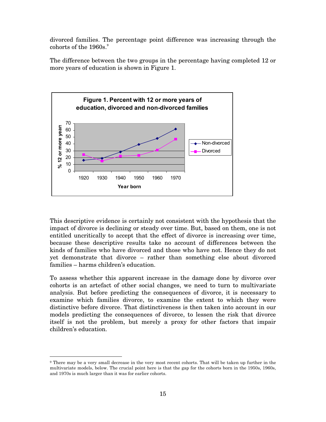divorced families. The percentage point difference was increasing through the cohorts of the  $1960s$ .<sup>9</sup>

The difference between the two groups in the percentage having completed 12 or more years of education is shown in Figure 1.



This descriptive evidence is certainly not consistent with the hypothesis that the impact of divorce is declining or steady over time. But, based on them, one is not entitled uncritically to accept that the effect of divorce is increasing over time, because these descriptive results take no account of differences between the kinds of families who have divorced and those who have not. Hence they do not yet demonstrate that divorce – rather than something else about divorced families – harms children's education.

To assess whether this apparent increase in the damage done by divorce over cohorts is an artefact of other social changes, we need to turn to multivariate analysis. But before predicting the consequences of divorce, it is necessary to examine which families divorce, to examine the extent to which they were distinctive before divorce. That distinctiveness is then taken into account in our models predicting the consequences of divorce, to lessen the risk that divorce itself is not the problem, but merely a proxy for other factors that impair children's education.

<sup>9</sup> There may be a very small decrease in the very most recent cohorts. That will be taken up further in the multivariate models, below. The crucial point here is that the gap for the cohorts born in the 1950s, 1960s, and 1970s is much larger than it was for earlier cohorts.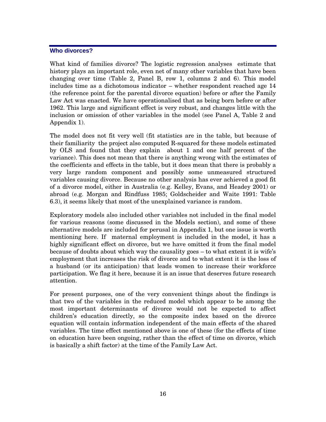## **Who divorces?**

What kind of families divorce? The logistic regression analyses estimate that history plays an important role, even net of many other variables that have been changing over time (Table 2, Panel B, row 1, columns 2 and 6). This model includes time as a dichotomous indicator – whether respondent reached age 14 (the reference point for the parental divorce equation) before or after the Family Law Act was enacted. We have operationalised that as being born before or after 1962. This large and significant effect is very robust, and changes little with the inclusion or omission of other variables in the model (see Panel A, Table 2 and Appendix 1).

The model does not fit very well (fit statistics are in the table, but because of their familiarity the project also computed R-squared for these models estimated by OLS and found that they explain about 1 and one half percent of the variance). This does not mean that there is anything wrong with the estimates of the coefficients and effects in the table, but it does mean that there is probably a very large random component and possibly some unmeasured structured variables causing divorce. Because no other analysis has ever achieved a good fit of a divorce model, either in Australia (e.g. Kelley, Evans, and Headey 2001) or abroad (e.g. Morgan and Rindfuss 1985; Goldscheider and Waite 1991: Table 6.3), it seems likely that most of the unexplained variance is random.

Exploratory models also included other variables not included in the final model for various reasons (some discussed in the Models section), and some of these alternative models are included for perusal in Appendix 1, but one issue is worth mentioning here. If maternal employment is included in the model, it has a highly significant effect on divorce, but we have omitted it from the final model because of doubts about which way the causality goes – to what extent it is wife's employment that increases the risk of divorce and to what extent it is the loss of a husband (or its anticipation) that leads women to increase their workforce participation. We flag it here, because it is an issue that deserves future research attention.

For present purposes, one of the very convenient things about the findings is that two of the variables in the reduced model which appear to be among the most important determinants of divorce would not be expected to affect children's education directly, so the composite index based on the divorce equation will contain information independent of the main effects of the shared variables. The time effect mentioned above is one of these (for the effects of time on education have been ongoing, rather than the effect of time on divorce, which is basically a shift factor) at the time of the Family Law Act.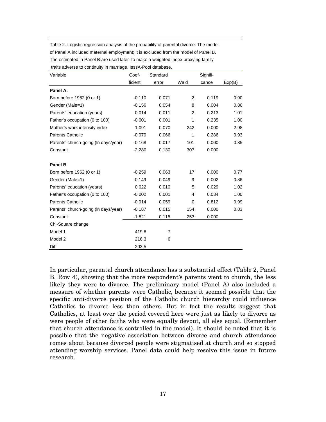| Table 2. Logistic regression analysis of the probability of parental divorce. The model |
|-----------------------------------------------------------------------------------------|
| of Panel A included maternal employment; it is excluded from the model of Panel B.      |
| The estimated in Panel B are used later to make a weighted index proxying family        |
| traits adverse to continuity in marriage. IsssA-Pool database.                          |

| Variable                             | Coef-    | Standard       |                | Signifi- |        |  |
|--------------------------------------|----------|----------------|----------------|----------|--------|--|
|                                      | ficient  | error          | Wald           | cance    | Exp(B) |  |
| Panel A:                             |          |                |                |          |        |  |
| Born before 1962 (0 or 1)            | $-0.110$ | 0.071          | $\overline{2}$ | 0.119    | 0.90   |  |
| Gender (Male=1)                      | $-0.156$ | 0.054          | 8              | 0.004    | 0.86   |  |
| Parents' education (years)           | 0.014    | 0.011          | 2              | 0.213    | 1.01   |  |
| Father's occupation (0 to 100)       | $-0.001$ | 0.001          | 1              | 0.235    | 1.00   |  |
| Mother's work intensity index        | 1.091    | 0.070          | 242            | 0.000    | 2.98   |  |
| Parents Catholic                     | $-0.070$ | 0.066          | 1              | 0.286    | 0.93   |  |
| Parents' church-going (In days/year) | $-0.168$ | 0.017          | 101            | 0.000    | 0.85   |  |
| Constant                             | $-2.280$ | 0.130          | 307            | 0.000    |        |  |
| Panel B                              |          |                |                |          |        |  |
| Born before 1962 (0 or 1)            | $-0.259$ | 0.063          | 17             | 0.000    | 0.77   |  |
| Gender (Male=1)                      | $-0.149$ | 0.049          | 9              | 0.002    | 0.86   |  |
| Parents' education (years)           | 0.022    | 0.010          | 5              | 0.029    | 1.02   |  |
| Father's occupation (0 to 100)       | $-0.002$ | 0.001          | 4              | 0.034    | 1.00   |  |
| <b>Parents Catholic</b>              | $-0.014$ | 0.059          | 0              | 0.812    | 0.99   |  |
| Parents' church-going (In days/year) | $-0.187$ | 0.015          | 154            | 0.000    | 0.83   |  |
| Constant                             | $-1.821$ | 0.115          | 253            | 0.000    |        |  |
| Chi-Square change                    |          |                |                |          |        |  |
| Model 1                              | 419.8    | $\overline{7}$ |                |          |        |  |
| Model 2                              | 216.3    | 6              |                |          |        |  |
| Diff                                 | 203.5    |                |                |          |        |  |

In particular, parental church attendance has a substantial effect (Table 2, Panel B, Row 4), showing that the more respondent's parents went to church, the less likely they were to divorce. The preliminary model (Panel A) also included a measure of whether parents were Catholic, because it seemed possible that the specific anti-divorce position of the Catholic church hierarchy could influence Catholics to divorce less than others. But in fact the results suggest that Catholics, at least over the period covered here were just as likely to divorce as were people of other faiths who were equally devout, all else equal. (Remember that church attendance is controlled in the model). It should be noted that it is possible that the negative association between divorce and church attendance comes about because divorced people were stigmatised at church and so stopped attending worship services. Panel data could help resolve this issue in future research.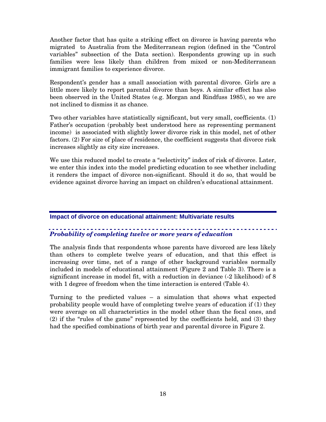Another factor that has quite a striking effect on divorce is having parents who migrated to Australia from the Mediterranean region (defined in the "Control variables" subsection of the Data section). Respondents growing up in such families were less likely than children from mixed or non-Mediterranean immigrant families to experience divorce.

Respondent's gender has a small association with parental divorce. Girls are a little more likely to report parental divorce than boys. A similar effect has also been observed in the United States (e.g. Morgan and Rindfuss 1985), so we are not inclined to dismiss it as chance.

Two other variables have statistically significant, but very small, coefficients. (1) Father's occupation (probably best understood here as representing permanent income) is associated with slightly lower divorce risk in this model, net of other factors. (2) For size of place of residence, the coefficient suggests that divorce risk increases slightly as city size increases.

We use this reduced model to create a "selectivity" index of risk of divorce. Later, we enter this index into the model predicting education to see whether including it renders the impact of divorce non-significant. Should it do so, that would be evidence against divorce having an impact on children's educational attainment.

## **Impact of divorce on educational attainment: Multivariate results**

## *Probability of completing twelve or more years of education*

The analysis finds that respondents whose parents have divorced are less likely than others to complete twelve years of education, and that this effect is increasing over time, net of a range of other background variables normally included in models of educational attainment (Figure 2 and Table 3). There is a significant increase in model fit, with a reduction in deviance (-2 likelihood) of 8 with 1 degree of freedom when the time interaction is entered (Table 4).

Turning to the predicted values – a simulation that shows what expected probability people would have of completing twelve years of education if (1) they were average on all characteristics in the model other than the focal ones, and (2) if the "rules of the game" represented by the coefficients held, and (3) they had the specified combinations of birth year and parental divorce in Figure 2.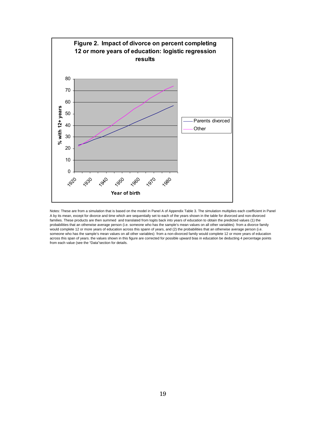

Notes: These are from a simulation that is based on the model in Panel A of Appendix Table 3. The simulation multiplies each coefficient in Panel A by its mean, except for divorce and time which are sequentially set to each of the years shown in the table for divorced and non-divorced families. These products are then summed and translated from logits back into years of education to obtain the predicted values (1) the probabilities that an otherwise average person (i.e. someone who has the sample's mean values on all other variables) from a divorce family would complete 12 or more years of education across this spann of years, and (2) the probabilities that an otherwise average person (i.e. someone who has the sample's mean values on all other variables) from a non-divorced family would complete 12 or more years of education across this span of years. the values shown in this figure are corrected for possible upward bias in education be deducting 4 percentage points from each value (see the "Data"section for details.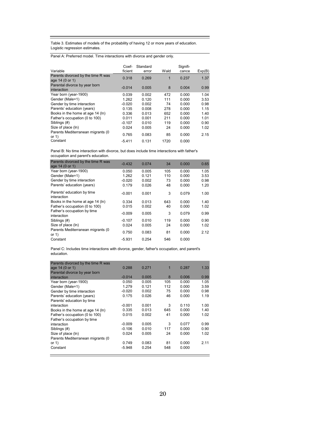Table 3. Estimates of models of the probability of having 12 or more years of education. Logistic regression estimates.

Panel A: Preferred model. Time interactions with divorce and gender only.

| Variable                                              | Coef-<br>ficient | Standard<br>error | Wald | Signifi-<br>cance | Exp(B) |
|-------------------------------------------------------|------------------|-------------------|------|-------------------|--------|
| Parents divorced by the time R was<br>age 14 (0 or 1) | 0.318            | 0.269             | 1    | 0.237             | 1.37   |
| Parental divorce by year born<br>interaction          | $-0.014$         | 0.005             | 8    | 0.004             | 0.99   |
| Year born (year-1900)                                 | 0.039            | 0.002             | 472  | 0.000             | 1.04   |
| Gender (Male=1)                                       | 1.262            | 0.120             | 111  | 0.000             | 3.53   |
| Gender by time interaction                            | $-0.020$         | 0.002             | 74   | 0.000             | 0.98   |
| Parents' education (years)                            | 0.135            | 0.008             | 278  | 0.000             | 1.15   |
| Books in the home at age 14 (ln)                      | 0.336            | 0.013             | 652  | 0.000             | 1.40   |
| Father's occupation (0 to 100)                        | 0.011            | 0.001             | 211  | 0.000             | 1.01   |
| Siblings (#)                                          | $-0.107$         | 0.010             | 119  | 0.000             | 0.90   |
| Size of place (ln)                                    | 0.024            | 0.005             | 24   | 0.000             | 1.02   |
| Parents Mediterranean migrants (0<br>or $1)$          | 0.765            | 0.083             | 85   | 0.000             | 2.15   |
| Constant                                              | $-5.411$         | 0.131             | 1720 | 0.000             |        |

Panel B: No time interaction with divorce, but does include time interactions with father's occupation and parent's education.

| Parents divorced by the time R was<br>age 14 (0 or 1) | $-0.432$ | 0.074 | 34  | 0.000 | 0.65 |
|-------------------------------------------------------|----------|-------|-----|-------|------|
| Year born (year-1900)                                 | 0.050    | 0.005 | 105 | 0.000 | 1.05 |
| Gender (Male=1)                                       | 1.262    | 0.121 | 110 | 0.000 | 3.53 |
| Gender by time interaction                            | $-0.020$ | 0.002 | 73  | 0.000 | 0.98 |
| Parents' education (years)                            | 0.179    | 0.026 | 48  | 0.000 | 1.20 |
| Parents' education by time<br>interaction             | $-0.001$ | 0.001 | 3   | 0.079 | 1.00 |
| Books in the home at age 14 (ln)                      | 0.334    | 0.013 | 643 | 0.000 | 1.40 |
| Father's occupation (0 to 100)                        | 0.015    | 0.002 | 40  | 0.000 | 1.02 |
| Father's occupation by time<br>interaction            | $-0.009$ | 0.005 | 3   | 0.079 | 0.99 |
| Siblings (#)                                          | $-0.107$ | 0.010 | 119 | 0.000 | 0.90 |
| Size of place (ln)                                    | 0.024    | 0.005 | 24  | 0.000 | 1.02 |
| Parents Mediterranean migrants (0<br>or $1)$          | 0.750    | 0.083 | 81  | 0.000 | 2.12 |
| Constant                                              | $-5.931$ | 0.254 | 546 | 0.000 |      |
|                                                       |          |       |     |       |      |

Panel C: Includes time interactions with divorce, gender, father's occupation, and parent's education.

| Parents divorced by the time R was |          |       |     |       |      |
|------------------------------------|----------|-------|-----|-------|------|
| age 14 (0 or 1)                    | 0.288    | 0.271 | 1   | 0.287 | 1.33 |
| Parental divorce by year born      |          |       |     |       |      |
| interaction                        | $-0.014$ | 0.005 | 8   | 0.006 | 0.99 |
| Year born (year-1900)              | 0.050    | 0.005 | 105 | 0.000 | 1.05 |
| Gender (Male=1)                    | 1.279    | 0.121 | 112 | 0.000 | 3.59 |
| Gender by time interaction         | $-0.020$ | 0.002 | 75  | 0.000 | 0.98 |
| Parents' education (years)         | 0.175    | 0.026 | 46  | 0.000 | 1.19 |
| Parents' education by time         |          |       |     |       |      |
| interaction                        | $-0.001$ | 0.001 | 3   | 0.110 | 1.00 |
| Books in the home at age 14 (ln)   | 0.335    | 0.013 | 645 | 0.000 | 1.40 |
| Father's occupation (0 to 100)     | 0.015    | 0.002 | 41  | 0.000 | 1.02 |
| Father's occupation by time        |          |       |     |       |      |
| interaction                        | $-0.009$ | 0.005 | 3   | 0.077 | 0.99 |
| Siblings (#)                       | $-0.106$ | 0.010 | 117 | 0.000 | 0.90 |
| Size of place (ln)                 | 0.024    | 0.005 | 24  | 0.000 | 1.02 |
| Parents Mediterranean migrants (0  |          |       |     |       |      |
| or $1)$                            | 0.749    | 0.083 | 81  | 0.000 | 2.11 |
| Constant                           | $-5.948$ | 0.254 | 548 | 0.000 |      |
|                                    |          |       |     |       |      |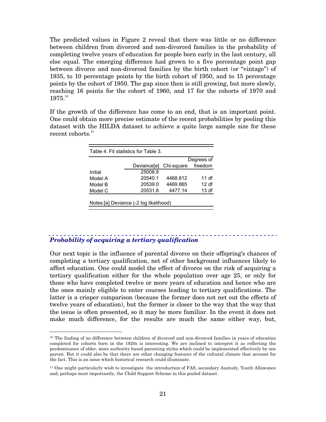The predicted values in Figure 2 reveal that there was little or no difference between children from divorced and non-divorced families in the probability of completing twelve years of education for people born early in the last century, all else equal. The emerging difference had grown to a five percentage point gap between divorce and non-divorced families by the birth cohort (or "vintage") of 1935, to 10 percentage points by the birth cohort of 1950, and to 15 percentage points by the cohort of 1950. The gap since then is still growing, but more slowly, reaching 16 points for the cohort of 1960, and 17 for the cohorts of 1970 and 1975.10

If the growth of the difference has come to an end, that is an important point. One could obtain more precise estimate of the recent probabilities by pooling this dataset with the HILDA dataset to achieve a quite large sample size for these recent cohorts. $^{11}$ 

| Table 4. Fit statistics for Table 3.<br>Degrees of |             |            |         |  |  |  |  |
|----------------------------------------------------|-------------|------------|---------|--|--|--|--|
|                                                    | Deviancelal | Chi-square | freedom |  |  |  |  |
| Initial                                            | 25008.9     |            |         |  |  |  |  |
| Model A                                            | 20540.1     | 4468.812   | 11 df   |  |  |  |  |
| Model B                                            | 20539.0     | 4469.865   | 12 df   |  |  |  |  |
| Model C                                            | 20531.8     | 4477.14    | 13df    |  |  |  |  |
| Notes: [a] Deviance (-2 log likelihood)            |             |            |         |  |  |  |  |

## *Probability of acquiring a tertiary qualification*

Our next topic is the influence of parental divorce on their offspring's chances of completing a tertiary qualification, net of other background influences likely to affect education. One could model the effect of divorce on the risk of acquiring a tertiary qualification either for the whole population over age 25, or only for those who have completed twelve or more years of education and hence who are the ones mainly eligible to enter courses leading to tertiary qualifications. The latter is a crisper comparison (because the former does not net out the effects of twelve years of education), but the former is closer to the way that the way that the issue is often presented, so it may be more familiar. In the event it does not make much difference, for the results are much the same either way, but,

<sup>&</sup>lt;sup>10</sup> The finding of no difference between children of divorced and non-divorced families in years of education completed for cohorts born in the 1920s is interesting. We are inclined to interpret it as reflecting the predominance of older, more authority based parenting styles which could be implemented effectively by one parent. But it could also be that there are other changing features of the cultural climate that account for the fact. This is an issue which historical research could illuminate.

<sup>11</sup> One might particularly wish to investigate the introduction of FAS, secondary Austudy, Youth Allowance and, perhaps most importantly, the Child Support Scheme in this pooled dataset.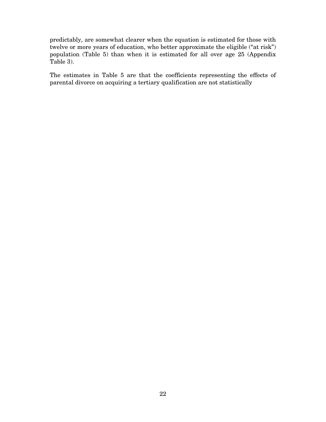predictably, are somewhat clearer when the equation is estimated for those with twelve or more years of education, who better approximate the eligible ("at risk") population (Table 5) than when it is estimated for all over age 25 (Appendix Table 3).

The estimates in Table 5 are that the coefficients representing the effects of parental divorce on acquiring a tertiary qualification are not statistically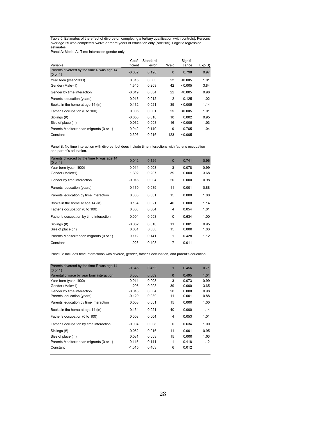Table 5. Estimates of the effect of divorce on completing a tertiary qualification (with controls). Persons over age 25 who completed twelve or more years of education only (N=6205). Logistic regression estimates.

Panel A: Model A'. Time interaction gender only.

|                                                       | Coef-    | Standard |          | Signifi- |        |
|-------------------------------------------------------|----------|----------|----------|----------|--------|
| Variable                                              | ficient  | error    | Wald     | cance    | Exp(B) |
| Parents divorced by the time R was age 14<br>(0 or 1) | $-0.032$ | 0.126    | $\Omega$ | 0.798    | 0.97   |
| Year born (year-1900)                                 | 0.015    | 0.003    | 22       | < 0.005  | 1.01   |
| Gender (Male=1)                                       | 1.345    | 0.208    | 42       | < 0.005  | 3.84   |
| Gender by time interaction                            | $-0.019$ | 0.004    | 22       | < 0.005  | 0.98   |
| Parents' education (years)                            | 0.018    | 0.012    | 2        | 0.125    | 1.02   |
| Books in the home at age 14 (ln)                      | 0.132    | 0.021    | 39       | < 0.005  | 1.14   |
| Father's occupation (0 to 100)                        | 0.006    | 0.001    | 25       | < 0.005  | 1.01   |
| Siblings (#)                                          | $-0.050$ | 0.016    | 10       | 0.002    | 0.95   |
| Size of place (ln)                                    | 0.032    | 0.008    | 16       | < 0.005  | 1.03   |
| Parents Mediterranean migrants (0 or 1)               | 0.042    | 0.140    | 0        | 0.765    | 1.04   |
| Constant                                              | $-2.396$ | 0.216    | 123      | < 0.005  |        |

Panel B: No time interaction with divorce, but does include time interactions with father's occupation and parent's education.

| Parents divorced by the time R was age 14<br>(0 or 1) | $-0.042$ | 0.126 | $\mathbf{0}$   | 0.741 | 0.96 |
|-------------------------------------------------------|----------|-------|----------------|-------|------|
| Year born (year-1900)                                 | $-0.014$ | 0.008 | 3              | 0.078 | 0.99 |
| Gender (Male=1)                                       | 1.302    | 0.207 | 39             | 0.000 | 3.68 |
| Gender by time interaction                            | $-0.018$ | 0.004 | 20             | 0.000 | 0.98 |
| Parents' education (years)                            | $-0.130$ | 0.039 | 11             | 0.001 | 0.88 |
| Parents' education by time interaction                | 0.003    | 0.001 | 15             | 0.000 | 1.00 |
| Books in the home at age 14 (ln)                      | 0.134    | 0.021 | 40             | 0.000 | 1.14 |
| Father's occupation (0 to 100)                        | 0.008    | 0.004 | 4              | 0.054 | 1.01 |
| Father's occupation by time interaction               | $-0.004$ | 0.008 | 0              | 0.634 | 1.00 |
| Siblings (#)                                          | $-0.052$ | 0.016 | 11             | 0.001 | 0.95 |
| Size of place (ln)                                    | 0.031    | 0.008 | 15             | 0.000 | 1.03 |
| Parents Mediterranean migrants (0 or 1)               | 0.112    | 0.141 | 1              | 0.428 | 1.12 |
| Constant                                              | $-1.026$ | 0.403 | $\overline{7}$ | 0.011 |      |

Panel C: Includes time interactions with divorce, gender, father's occupation, and parent's education.

| Parents divorced by the time R was age 14<br>(0 or 1) | $-0.345$ | 0.463 | $\mathbf{1}$ | 0.456 | 0.71 |
|-------------------------------------------------------|----------|-------|--------------|-------|------|
| Parental divorce by year born interaction             | 0.006    | 0.009 | $\Omega$     | 0.495 | 1.01 |
| Year born (year-1900)                                 | $-0.014$ | 0.008 | 3            | 0.073 | 0.99 |
| Gender (Male=1)                                       | 1.295    | 0.208 | 39           | 0.000 | 3.65 |
| Gender by time interaction                            | $-0.018$ | 0.004 | 20           | 0.000 | 0.98 |
| Parents' education (years)                            | $-0.129$ | 0.039 | 11           | 0.001 | 0.88 |
| Parents' education by time interaction                | 0.003    | 0.001 | 15           | 0.000 | 1.00 |
| Books in the home at age 14 (ln)                      | 0.134    | 0.021 | 40           | 0.000 | 1.14 |
| Father's occupation (0 to 100)                        | 0.008    | 0.004 | 4            | 0.053 | 1.01 |
| Father's occupation by time interaction               | $-0.004$ | 0.008 | 0            | 0.634 | 1.00 |
| Siblings (#)                                          | $-0.052$ | 0.016 | 11           | 0.001 | 0.95 |
| Size of place (ln)                                    | 0.031    | 0.008 | 15           | 0.000 | 1.03 |
| Parents Mediterranean migrants (0 or 1)               | 0.115    | 0.141 | 1            | 0.418 | 1.12 |
| Constant                                              | $-1.015$ | 0.403 | 6            | 0.012 |      |
|                                                       |          |       |              |       |      |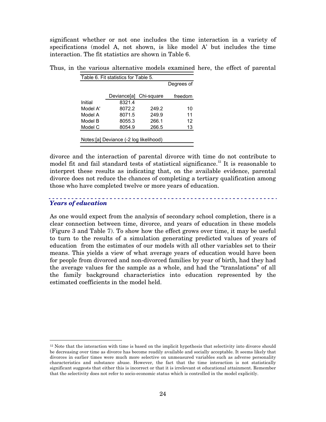significant whether or not one includes the time interaction in a variety of specifications (model A, not shown, is like model A' but includes the time interaction. The fit statistics are shown in Table 6.

|          | Table 6. Fit statistics for Table 5. |       | Degrees of |
|----------|--------------------------------------|-------|------------|
|          | Deviance[a] Chi-square               |       | freedom    |
| Initial  | 8321.4                               |       |            |
| Model A' | 8072.2                               | 249.2 | 10         |
| Model A  | 8071.5                               | 249.9 | 11         |
| Model B  | 8055.3                               | 266.1 | 12         |
| Model C  | 8054.9                               | 266.5 | 13         |

Thus, in the various alternative models examined here, the effect of parental

divorce and the interaction of parental divorce with time do not contribute to model fit and fail standard tests of statistical significance.<sup>12</sup> It is reasonable to interpret these results as indicating that, on the available evidence, parental divorce does not reduce the chances of completing a tertiary qualification among those who have completed twelve or more years of education.

## *Years of education*

As one would expect from the analysis of secondary school completion, there is a clear connection between time, divorce, and years of education in these models (Figure 3 and Table 7). To show how the effect grows over time, it may be useful to turn to the results of a simulation generating predicted values of years of education from the estimates of our models with all other variables set to their means. This yields a view of what average years of education would have been for people from divorced and non-divorced families by year of birth, had they had the average values for the sample as a whole, and had the "translations" of all the family background characteristics into education represented by the estimated coefficients in the model held.

 $12$  Note that the interaction with time is based on the implicit hypothesis that selectivity into divorce should be decreasing over time as divorce has become readily available and socially acceptable. It seems likely that divorces in earlier times were much more selective on unmeasured variables such as adverse personality characteristics and substance abuse. However, the fact that the time interaction is not statistically significant suggests that either this is incorrect or that it is irrelevant ot educational attainment. Remember that the selectivity does not refer to socio-economic status which is controlled in the model explicitly.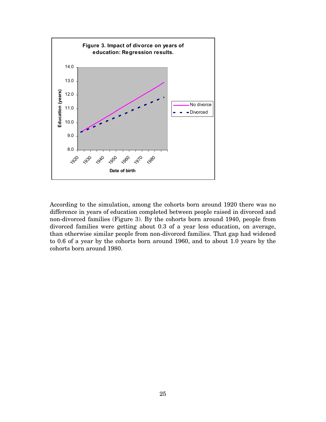

According to the simulation, among the cohorts born around 1920 there was no difference in years of education completed between people raised in divorced and non-divorced families (Figure 3). By the cohorts born around 1940, people from divorced families were getting about 0.3 of a year less education, on average, than otherwise similar people from non-divorced families. That gap had widened to 0.6 of a year by the cohorts born around 1960, and to about 1.0 years by the cohorts born around 1980.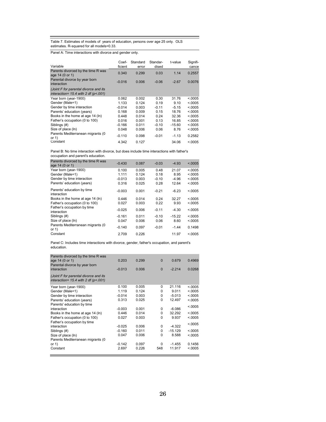Table 7. Estimates of models of years of education, persons over age 25 only. OLS estimates. R-squared for all models=0.33.

Panel A: Time interactions with divorce and gender only.

| Coef-<br>ficient | Standard | Standar-<br>dised | t-value  | Signifi-<br>cance |
|------------------|----------|-------------------|----------|-------------------|
| 0.340            | 0.299    | 0.03              | 1.14     | 0.2557            |
| $-0.016$         | 0.006    | $-0.06$           | $-2.67$  | 0.0076            |
|                  |          |                   |          |                   |
| 0.062            | 0.002    | 0.30              | 31.76    | < 0.0005          |
| 1.133            | 0.124    | 0.19              | 9.10     | < 0.0005          |
| $-0.014$         | 0.003    | $-0.11$           | $-5.15$  | < 0.0005          |
| 0.168            | 0.009    | 0.15              | 18.76    | < 0.0005          |
| 0.448            | 0.014    | 0.24              | 32.36    | < 0.0005          |
| 0.016            | 0.001    | 0.13              | 16.85    | < 0.0005          |
| $-0.166$         | 0.011    | $-0.10$           | $-15.60$ | < 0.0005          |
| 0.048            | 0.006    | 0.06              | 8.76     | < 0.0005          |
| $-0.110$         | 0.098    | $-0.01$           | $-1.13$  | 0.2582            |
| 4.342            | 0.127    |                   | 34.06    | < 0.0005          |
|                  |          | error             |          |                   |

Panel B: No time interaction with divorce, but does include time interactions with father's occupation and parent's education.

| Parents divorced by the time R was<br>age 14 (0 or 1) | $-0.430$ | 0.087 | $-0.03$ | $-4.93$  | < 0.0005 |
|-------------------------------------------------------|----------|-------|---------|----------|----------|
| Year born (year-1900)                                 | 0.100    | 0.005 | 0.48    | 21.07    | < 0.0005 |
| Gender (Male=1)                                       | 1.111    | 0.124 | 0.18    | 8.95     | < 0.0005 |
| Gender by time interaction                            | $-0.013$ | 0.003 | $-0.10$ | $-4.96$  | < 0.0005 |
| Parents' education (years)                            | 0.316    | 0.025 | 0.28    | 12.64    | < 0.0005 |
| Parents' education by time<br>interaction             | $-0.003$ | 0.001 | $-0.21$ | $-6.23$  | < 0.0005 |
| Books in the home at age 14 (ln)                      | 0.446    | 0.014 | 0.24    | 32.27    | < 0.0005 |
| Father's occupation (0 to 100)                        | 0.027    | 0.003 | 0.22    | 9.93     | < 0.0005 |
| Father's occupation by time<br>interaction            | $-0.025$ | 0.006 | $-0.11$ | $-4.30$  | < 0.0005 |
| Siblings (#)                                          | $-0.161$ | 0.011 | $-0.10$ | $-15.22$ | < 0.0005 |
| Size of place (ln)                                    | 0.047    | 0.006 | 0.06    | 8.60     | < 0.0005 |
| Parents Mediterranean migrants (0<br>or $1)$          | $-0.140$ | 0.097 | $-0.01$ | $-1.44$  | 0.1498   |
| Constant                                              | 2.709    | 0.226 |         | 11.97    | < 0.0005 |
|                                                       |          |       |         |          |          |

Panel C: Includes time interactions with divorce, gender, father's occupation, and parent's education.

| Parents divorced by the time R was<br>age 14 (0 or 1)<br>Parental divorce by year born<br>interaction | 0.203<br>$-0.013$ | 0.299<br>0.006 | $\mathbf{0}$<br>$\Omega$ | 0.679<br>$-2.214$ | 0.4969<br>0.0268 |
|-------------------------------------------------------------------------------------------------------|-------------------|----------------|--------------------------|-------------------|------------------|
| (Joint F for parental divorce and its<br>interaction= $15.4$ with 2 df (p<.001)                       |                   |                |                          |                   |                  |
| Year born (year-1900)                                                                                 | 0.100             | 0.005          | 0                        | 21.116            | < 0.0005         |
| Gender (Male=1)                                                                                       | 1.119             | 0.124          | 0                        | 9.011             | < 0.0005         |
| Gender by time interaction                                                                            | $-0.014$          | 0.003          | 0                        | $-5.013$          | < 0.0005         |
| Parents' education (years)                                                                            | 0.313             | 0.025          | 0                        | 12.497            | < 0.0005         |
| Parents' education by time                                                                            |                   |                |                          |                   | < 0.0005         |
| interaction                                                                                           | $-0.003$          | 0.001          | 0                        | $-6.086$          |                  |
| Books in the home at age 14 (ln)                                                                      | 0.446             | 0.014          | 0                        | 32.292            | < 0.0005         |
| Father's occupation (0 to 100)                                                                        | 0.027             | 0.003          | $\Omega$                 | 9.937             | < 0.0005         |
| Father's occupation by time                                                                           |                   |                |                          |                   | < 0.0005         |
| interaction                                                                                           | $-0.025$          | 0.006          | 0                        | $-4.322$          |                  |
| Siblings (#)                                                                                          | $-0.160$          | 0.011          | 0                        | $-15.129$         | < 0.0005         |
| Size of place (ln)                                                                                    | 0.047             | 0.006          | 0                        | 8.588             | < 0.0005         |
| Parents Mediterranean migrants (0                                                                     |                   |                |                          |                   |                  |
| or $1$ )                                                                                              | $-0.142$          | 0.097          | 0                        | $-1.455$          | 0.1456           |
| Constant                                                                                              | 2.697             | 0.226          | 548                      | 11.917            | < 0.0005         |
|                                                                                                       |                   |                |                          |                   |                  |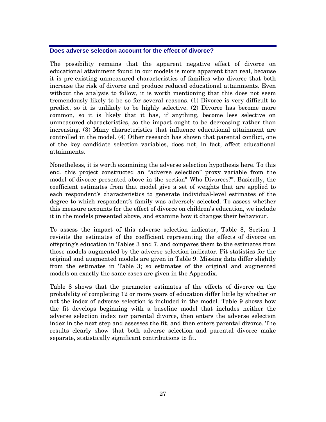## **Does adverse selection account for the effect of divorce?**

The possibility remains that the apparent negative effect of divorce on educational attainment found in our models is more apparent than real, because it is pre-existing unmeasured characteristics of families who divorce that both increase the risk of divorce and produce reduced educational attainments. Even without the analysis to follow, it is worth mentioning that this does not seem tremendously likely to be so for several reasons. (1) Divorce is very difficult to predict, so it is unlikely to be highly selective. (2) Divorce has become more common, so it is likely that it has, if anything, become less selective on unmeasured characteristics, so the impact ought to be decreasing rather than increasing. (3) Many characteristics that influence educational attainment are controlled in the model. (4) Other research has shown that parental conflict, one of the key candidate selection variables, does not, in fact, affect educational attainments.

Nonetheless, it is worth examining the adverse selection hypothesis here. To this end, this project constructed an "adverse selection" proxy variable from the model of divorce presented above in the section" Who Divorces?". Basically, the coefficient estimates from that model give a set of weights that are applied to each respondent's characteristics to generate individual-level estimates of the degree to which respondent's family was adversely selected. To assess whether this measure accounts for the effect of divorce on children's education, we include it in the models presented above, and examine how it changes their behaviour.

To assess the impact of this adverse selection indicator, Table 8, Section 1 revisits the estimates of the coefficient representing the effects of divorce on offspring's education in Tables 3 and 7, and compares them to the estimates from those models augmented by the adverse selection indicator. Fit statistics for the original and augmented models are given in Table 9. Missing data differ slightly from the estimates in Table 3; so estimates of the original and augmented models on exactly the same cases are given in the Appendix.

Table 8 shows that the parameter estimates of the effects of divorce on the probability of completing 12 or more years of education differ little by whether or not the index of adverse selection is included in the model. Table 9 shows how the fit develops beginning with a baseline model that includes neither the adverse selection index nor parental divorce, then enters the adverse selection index in the next step and assesses the fit, and then enters parental divorce. The results clearly show that both adverse selection and parental divorce make separate, statistically significant contributions to fit.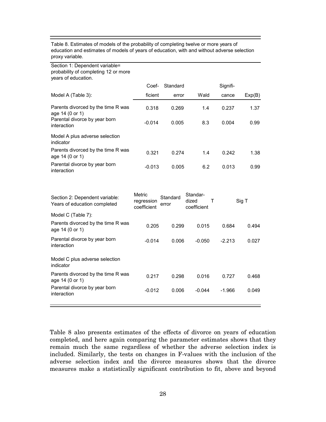| Table 8. Estimates of models of the probability of completing twelve or more years of       |
|---------------------------------------------------------------------------------------------|
| education and estimates of models of years of education, with and without adverse selection |
| proxy variable.                                                                             |

| Section 1: Dependent variable=<br>probability of completing 12 or more<br>years of education. |          |          |      |          |        |
|-----------------------------------------------------------------------------------------------|----------|----------|------|----------|--------|
|                                                                                               | Coef-    | Standard |      | Signifi- |        |
| Model A (Table 3):                                                                            | ficient  | error    | Wald | cance    | Exp(B) |
| Parents divorced by the time R was<br>age 14 (0 or 1)                                         | 0.318    | 0.269    | 1.4  | 0.237    | 1.37   |
| Parental divorce by year born<br>interaction                                                  | $-0.014$ | 0.005    | 8.3  | 0.004    | 0.99   |
| Model A plus adverse selection<br>indicator                                                   |          |          |      |          |        |
| Parents divorced by the time R was<br>age 14 (0 or 1)                                         | 0.321    | 0.274    | 1.4  | 0.242    | 1.38   |
| Parental divorce by year born<br>interaction                                                  | $-0.013$ | 0.005    | 6.2  | 0.013    | 0.99   |
|                                                                                               |          |          |      |          |        |

| Section 2: Dependent variable:<br>Years of education completed | Metric<br>regression<br>coefficient | Standard<br>error | Standar-<br>dized<br>coefficient | т        | Sig T |
|----------------------------------------------------------------|-------------------------------------|-------------------|----------------------------------|----------|-------|
| Model C (Table 7):                                             |                                     |                   |                                  |          |       |
| Parents divorced by the time R was<br>age 14 (0 or 1)          | 0.205                               | 0.299             | 0.015                            | 0.684    | 0.494 |
| Parental divorce by year born<br>interaction                   | $-0.014$                            | 0.006             | $-0.050$                         | $-2.213$ | 0.027 |
| Model C plus adverse selection<br>indicator                    |                                     |                   |                                  |          |       |
| Parents divorced by the time R was<br>age 14 (0 or 1)          | 0.217                               | 0.298             | 0.016                            | 0.727    | 0.468 |
| Parental divorce by year born<br>interaction                   | $-0.012$                            | 0.006             | $-0.044$                         | -1.966   | 0.049 |
|                                                                |                                     |                   |                                  |          |       |

Table 8 also presents estimates of the effects of divorce on years of education completed, and here again comparing the parameter estimates shows that they remain much the same regardless of whether the adverse selection index is included. Similarly, the tests on changes in F-values with the inclusion of the adverse selection index and the divorce measures shows that the divorce measures make a statistically significant contribution to fit, above and beyond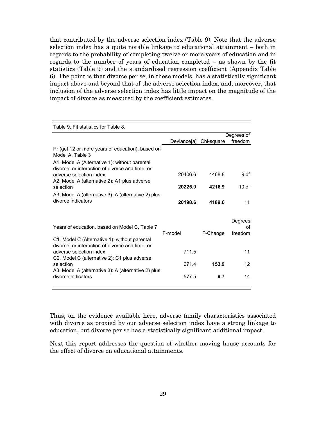that contributed by the adverse selection index (Table 9). Note that the adverse selection index has a quite notable linkage to educational attainment – both in regards to the probability of completing twelve or more years of education and in regards to the number of years of education completed – as shown by the fit statistics (Table 9) and the standardised regression coefficient (Appendix Table 6). The point is that divorce per se, in these models, has a statistically significant impact above and beyond that of the adverse selection index, and, moreover, that inclusion of the adverse selection index has little impact on the magnitude of the impact of divorce as measured by the coefficient estimates.

| Table 9. Fit statistics for Table 8.                                                                                        |             |            |                          |
|-----------------------------------------------------------------------------------------------------------------------------|-------------|------------|--------------------------|
|                                                                                                                             |             |            | Degrees of               |
|                                                                                                                             | Deviance[a] | Chi-square | freedom                  |
| Pr (get 12 or more years of education), based on<br>Model A, Table 3<br>A1. Model A (Alternative 1): without parental       |             |            |                          |
| divorce, or interaction of divorce and time, or<br>adverse selection index<br>A2. Model A (alternative 2): A1 plus adverse  | 20406.6     | 4468.8     | 9 df                     |
| selection                                                                                                                   | 20225.9     | 4216.9     | 10 df                    |
| A3. Model A (alternative 3): A (alternative 2) plus<br>divorce indicators                                                   | 20198.6     | 4189.6     | 11                       |
| Years of education, based on Model C, Table 7                                                                               | F-model     | F-Change   | Degrees<br>οf<br>freedom |
| C1. Model C (Alternative 1): without parental<br>divorce, or interaction of divorce and time, or<br>adverse selection index | 711.5       |            | 11                       |
| C2. Model C (alternative 2): C1 plus adverse<br>selection<br>A3. Model A (alternative 3): A (alternative 2) plus            | 671.4       | 153.9      | 12                       |
| divorce indicators                                                                                                          | 577.5       | 9.7        | 14                       |

Thus, on the evidence available here, adverse family characteristics associated with divorce as proxied by our adverse selection index have a strong linkage to education, but divorce per se has a statistically significant additional impact.

Next this report addresses the question of whether moving house accounts for the effect of divorce on educational attainments.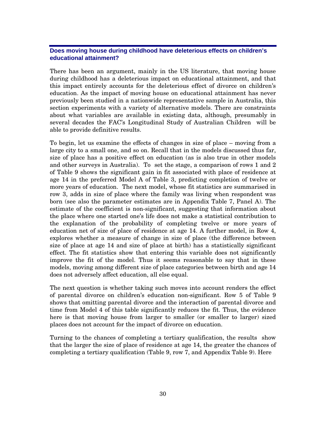## **Does moving house during childhood have deleterious effects on children's educational attainment?**

There has been an argument, mainly in the US literature, that moving house during childhood has a deleterious impact on educational attainment, and that this impact entirely accounts for the deleterious effect of divorce on children's education. As the impact of moving house on educational attainment has never previously been studied in a nationwide representative sample in Australia, this section experiments with a variety of alternative models. There are constraints about what variables are available in existing data, although, presumably in several decades the FAC's Longitudinal Study of Australian Children will be able to provide definitive results.

To begin, let us examine the effects of changes in size of place – moving from a large city to a small one, and so on. Recall that in the models discussed thus far, size of place has a positive effect on education (as is also true in other models and other surveys in Australia). To set the stage, a comparison of rows 1 and 2 of Table 9 shows the significant gain in fit associated with place of residence at age 14 in the preferred Model A of Table 3, predicting completion of twelve or more years of education. The next model, whose fit statistics are summarised in row 3, adds in size of place where the family was living when respondent was born (see also the parameter estimates are in Appendix Table 7, Panel A). The estimate of the coefficient is non-significant, suggesting that information about the place where one started one's life does not make a statistical contribution to the explanation of the probability of completing twelve or more years of education net of size of place of residence at age 14. A further model, in Row 4, explores whether a measure of change in size of place (the difference between size of place at age 14 and size of place at birth) has a statistically significant effect. The fit statistics show that entering this variable does not significantly improve the fit of the model. Thus it seems reasonable to say that in these models, moving among different size of place categories between birth and age 14 does not adversely affect education, all else equal.

The next question is whether taking such moves into account renders the effect of parental divorce on children's education non-significant. Row 5 of Table 9 shows that omitting parental divorce and the interaction of parental divorce and time from Model 4 of this table significantly reduces the fit. Thus, the evidence here is that moving house from larger to smaller (or smaller to larger) sized places does not account for the impact of divorce on education.

Turning to the chances of completing a tertiary qualification, the results show that the larger the size of place of residence at age 14, the greater the chances of completing a tertiary qualification (Table 9, row 7, and Appendix Table 9). Here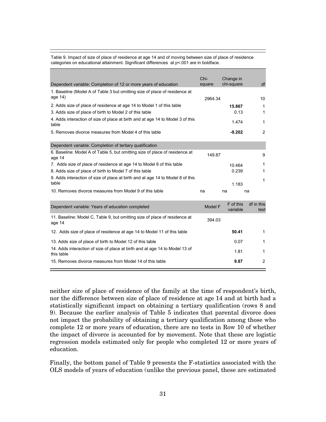Table 9. Impact of size of place of residence at age 14 and of moving between size of place of residence categories on educational attainment. Significant differences at p<.001 are in boldface.

|                                                                                         | Chi-    | Change in             |                    |
|-----------------------------------------------------------------------------------------|---------|-----------------------|--------------------|
| Dependent variable: Completion of 12 or more years of education                         | square  | chi-square            | df                 |
| 1. Baseline (Model A of Table 3 but omitting size of place of residence at              |         |                       |                    |
| age 14)                                                                                 | 2964.34 |                       | 10                 |
| 2. Adds size of place of residence at age 14 to Model 1 of this table                   |         | 15.867                | 1                  |
| 3. Adds size of place of birth to Model 2 of this table                                 |         | 0.13                  | 1                  |
| 4. Adds interaction of size of place at birth and at age 14 to Model 3 of this<br>table |         | 1.474                 | 1                  |
| 5. Removes divorce measures from Model 4 of this table                                  |         | $-9.202$              | 2                  |
| Dependent variable: Completion of tertiary qualification                                |         |                       |                    |
| 6. Baseline: Model A of Table 5, but omitting size of place of residence at<br>age 14   | 149.87  |                       | 9                  |
| 7. Adds size of place of residence at age 14 to Model 6 of this table                   |         | 10.464                | 1                  |
| 8. Adds size of place of birth to Model 7 of this table                                 |         | 0.239                 | 1                  |
| 9. Adds interaction of size of place at birth and at age 14 to Model 8 of this          |         |                       | 1                  |
| table                                                                                   |         | 1.183                 |                    |
| 10. Removes divorce measures from Model 9 of this table                                 | na      | na                    | na                 |
| Dependent variable: Years of education completed                                        | Model F | F of this<br>variable | df in this<br>test |
| 11. Baseline: Model C, Table 9, but omitting size of place of residence at              | 2010    |                       |                    |

| TT. Daseline. Model C. Table 9, but offitting size of place of residence at<br>age 14     | 394.03 |   |
|-------------------------------------------------------------------------------------------|--------|---|
| 12. Adds size of place of residence at age 14 to Model 11 of this table                   | 50.41  | 1 |
| 13. Adds size of place of birth to Model 12 of this table                                 | 0.07   | 1 |
| 14. Adds interaction of size of place at birth and at age 14 to Model 13 of<br>this table | 1.81   | 1 |
| 15. Removes divorce measures from Model 14 of this table                                  | 9.87   | 2 |

neither size of place of residence of the family at the time of respondent's birth, nor the difference between size of place of residence at age 14 and at birth had a statistically significant impact on obtaining a tertiary qualification (rows 8 and 9). Because the earlier analysis of Table 5 indicates that parental divorce does not impact the probability of obtaining a tertiary qualification among those who complete 12 or more years of education, there are no tests in Row 10 of whether the impact of divorce is accounted for by movement. Note that these are logistic regression models estimated only for people who completed 12 or more years of education.

Finally, the bottom panel of Table 9 presents the F-statistics associated with the OLS models of years of education (unlike the previous panel, these are estimated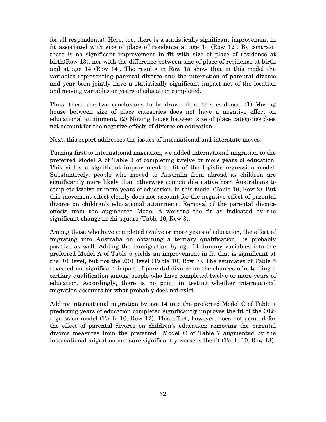for all respondents). Here, too, there is a statistically significant improvement in fit associated with size of place of residence at age 14 (Row 12). By contrast, there is no significant improvement in fit with size of place of residence at birth(Row 13), nor with the difference between size of place of residence at birth and at age 14 (Row 14). The results in Row 15 show that in this model the variables representing parental divorce and the interaction of parental divorce and year born jointly have a statistically significant impact net of the location and moving variables on years of education completed.

Thus, there are two conclusions to be drawn from this evidence. (1) Moving house between size of place categories does not have a negative effect on educational attainment. (2) Moving house between size of place categories does not account for the negative effects of divorce on education.

Next, this report addresses the issues of international and interstate moves.

Turning first to international migration, we added international migration to the preferred Model A of Table 3 of completing twelve or more years of education. This yields a significant improvement to fit of the logistic regression model. Substantively, people who moved to Australia from abroad as children are significantly more likely than otherwise comparable native born Australians to complete twelve or more years of education, in this model (Table 10, Row 2). But this movement effect clearly does not account for the negative effect of parental divorce on children's educational attainment. Removal of the parental divorce effects from the augmented Model A worsens the fit as indicated by the significant change in chi-square (Table 10, Row 3).

Among those who have completed twelve or more years of education, the effect of migrating into Australia on obtaining a tertiary qualification is probably positive as well. Adding the immigration by age 14 dummy variables into the preferred Model A of Table 5 yields an improvement in fit that is significant at the .01 level, but not the .001 level (Table 10, Row 7). The estimates of Table 5 revealed nonsignificant impact of parental divorce on the chances of obtaining a tertiary qualification among people who have completed twelve or more years of education. Accordingly, there is no point in testing whether international migration accounts for what probably does not exist.

Adding international migration by age 14 into the preferred Model C of Table 7 predicting years of education completed significantly improves the fit of the OLS regression model (Table 10, Row 12). This effect, however, does not account for the effect of parental divorce on children's education: removing the parental divorce measures from the preferred Model C of Table 7 augmented by the international migration measure significantly worsens the fit (Table 10, Row 13).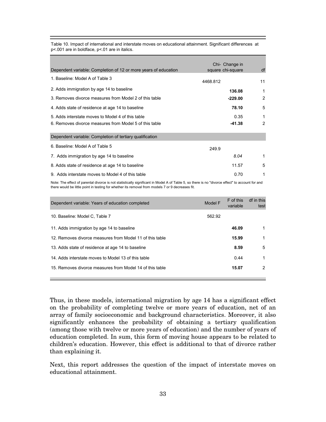|                                                                 | Chi- Change in    |                |
|-----------------------------------------------------------------|-------------------|----------------|
| Dependent variable: Completion of 12 or more years of education | square chi-square | df             |
| 1. Baseline: Model A of Table 3                                 | 4468.812          | 11             |
| 2. Adds immigration by age 14 to baseline                       | 136.08            | 1              |
| 3. Removes divorce measures from Model 2 of this table          | $-229.00$         | $\overline{2}$ |
| 4. Adds state of residence at age 14 to baseline                | 78.10             | 5              |
| 5. Adds interstate moves to Model 4 of this table               | 0.35              | 1              |
| 6. Removes divorce measures from Model 5 of this table          | $-41.38$          | 2              |
| Dependent variable: Completion of tertiary qualification        |                   |                |
| 6. Baseline: Model A of Table 5                                 | 249.9             |                |
| 7. Adds immigration by age 14 to baseline                       | 8.04              | 1              |
| 8. Adds state of residence at age 14 to baseline                | 11.57             | 5              |
| 9. Adds interstate moves to Model 4 of this table               | 0.70              |                |

Table 10. Impact of international and interstate moves on educational attainment. Significant differences at p<.001 are in boldface, p<.01 are in italics.

Note: The effect of parental divorce is not statistically significant in Model A of Table 5, so there is no "divorce effect" to account for and there would be little point in testing for whether its removal from models 7 or 9 decreases fit.

| Dependent variable: Years of education completed         | Model F | F of this<br>variable | df in this<br>test |
|----------------------------------------------------------|---------|-----------------------|--------------------|
| 10. Baseline: Model C, Table 7                           | 562.92  |                       |                    |
| 11. Adds immigration by age 14 to baseline               |         | 46.09                 |                    |
| 12. Removes divorce measures from Model 11 of this table |         | 15.99                 |                    |
| 13. Adds state of residence at age 14 to baseline        |         | 8.59                  | 5                  |
| 14. Adds interstate moves to Model 13 of this table      |         | 0.44                  | 1                  |
| 15. Removes divorce measures from Model 14 of this table |         | 15.07                 | 2                  |
|                                                          |         |                       |                    |

Thus, in these models, international migration by age 14 has a significant effect on the probability of completing twelve or more years of education, net of an array of family socioeconomic and background characteristics. Moreover, it also significantly enhances the probability of obtaining a tertiary qualification (among those with twelve or more years of education) and the number of years of education completed. In sum, this form of moving house appears to be related to children's education. However, this effect is additional to that of divorce rather than explaining it.

Next, this report addresses the question of the impact of interstate moves on educational attainment.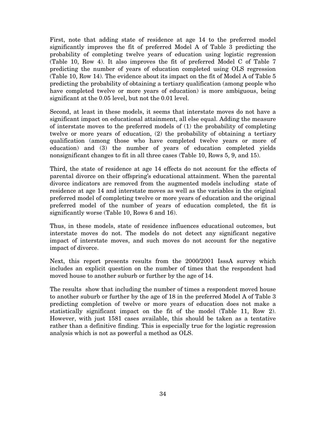First, note that adding state of residence at age 14 to the preferred model significantly improves the fit of preferred Model A of Table 3 predicting the probability of completing twelve years of education using logistic regression (Table 10, Row 4). It also improves the fit of preferred Model C of Table 7 predicting the number of years of education completed using OLS regression (Table 10, Row 14). The evidence about its impact on the fit of Model A of Table 5 predicting the probability of obtaining a tertiary qualification (among people who have completed twelve or more years of education) is more ambiguous, being significant at the 0.05 level, but not the 0.01 level.

Second, at least in these models, it seems that interstate moves do not have a significant impact on educational attainment, all else equal. Adding the measure of interstate moves to the preferred models of (1) the probability of completing twelve or more years of education, (2) the probability of obtaining a tertiary qualification (among those who have completed twelve years or more of education) and (3) the number of years of education completed yields nonsignificant changes to fit in all three cases (Table 10, Rows 5, 9, and 15).

Third, the state of residence at age 14 effects do not account for the effects of parental divorce on their offspring's educational attainment. When the parental divorce indicators are removed from the augmented models including state of residence at age 14 and interstate moves as well as the variables in the original preferred model of completing twelve or more years of education and the original preferred model of the number of years of education completed, the fit is significantly worse (Table 10, Rows 6 and 16).

Thus, in these models, state of residence influences educational outcomes, but interstate moves do not. The models do not detect any significant negative impact of interstate moves, and such moves do not account for the negative impact of divorce.

Next, this report presents results from the 2000/2001 IsssA survey which includes an explicit question on the number of times that the respondent had moved house to another suburb or further by the age of 14.

The results show that including the number of times a respondent moved house to another suburb or further by the age of 18 in the preferred Model A of Table 3 predicting completion of twelve or more years of education does not make a statistically significant impact on the fit of the model (Table 11, Row 2). However, with just 1581 cases available, this should be taken as a tentative rather than a definitive finding. This is especially true for the logistic regression analysis which is not as powerful a method as OLS.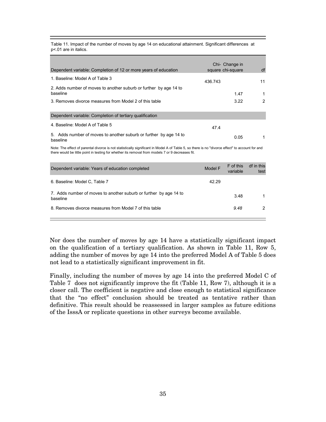Table 11. Impact of the number of moves by age 14 on educational attainment. Significant differences at p<.01 are in italics.

| Dependent variable: Completion of 12 or more years of education               | Chi- Change in<br>square chi-square | df |
|-------------------------------------------------------------------------------|-------------------------------------|----|
| 1. Baseline: Model A of Table 3                                               | 436.743                             | 11 |
| 2. Adds number of moves to another suburb or further by age 14 to<br>baseline | 1.47                                | 1  |
| 3. Removes divorce measures from Model 2 of this table                        | 3.22                                | 2  |
| Dependent variable: Completion of tertiary qualification                      |                                     |    |
| 4. Baseline: Model A of Table 5                                               | 47.4                                |    |
| 5. Adds number of moves to another suburb or further by age 14 to<br>baseline | 0.05                                | 1  |

Note: The effect of parental divorce is not statistically significant in Model A of Table 5, so there is no "divorce effect" to account for and there would be little point in testing for whether its removal from models 7 or 9 decreases fit.

| Dependent variable: Years of education completed                              | Model F | F of this<br>variable | df in this<br>test |
|-------------------------------------------------------------------------------|---------|-----------------------|--------------------|
| 6. Baseline: Model C, Table 7                                                 | 42.29   |                       |                    |
| 7. Adds number of moves to another suburb or further by age 14 to<br>baseline |         | 3.48                  |                    |
| 8. Removes divorce measures from Model 7 of this table                        |         | 9.48                  | 2                  |

Nor does the number of moves by age 14 have a statistically significant impact on the qualification of a tertiary qualification. As shown in Table 11, Row 5, adding the number of moves by age 14 into the preferred Model A of Table 5 does not lead to a statistically significant improvement in fit.

Finally, including the number of moves by age 14 into the preferred Model C of Table 7 does not significantly improve the fit (Table 11, Row 7), although it is a closer call. The coefficient is negative and close enough to statistical significance that the "no effect" conclusion should be treated as tentative rather than definitive. This result should be reassessed in larger samples as future editions of the IsssA or replicate questions in other surveys become available.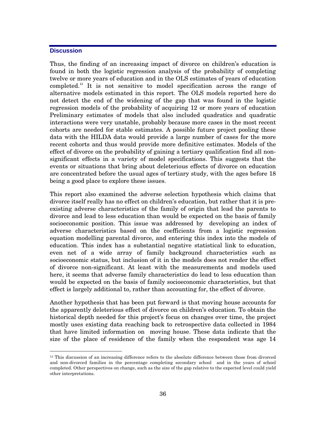## **Discussion**

Thus, the finding of an increasing impact of divorce on children's education is found in both the logistic regression analysis of the probability of completing twelve or more years of education and in the OLS estimates of years of education completed.13 It is not sensitive to model specification across the range of alternative models estimated in this report. The OLS models reported here do not detect the end of the widening of the gap that was found in the logistic regression models of the probability of acquiring 12 or more years of education Preliminary estimates of models that also included quadratics and quadratic interactions were very unstable, probably because more cases in the most recent cohorts are needed for stable estimates. A possible future project pooling these data with the HILDA data would provide a large number of cases for the more recent cohorts and thus would provide more definitive estimates. Models of the effect of divorce on the probability of gaining a tertiary qualification find all nonsignificant effects in a variety of model specifications. This suggests that the events or situations that bring about deleterious effects of divorce on education are concentrated before the usual ages of tertiary study, with the ages before 18 being a good place to explore these issues.

This report also examined the adverse selection hypothesis which claims that divorce itself really has no effect on children's education, but rather that it is preexisting adverse characteristics of the family of origin that lead the parents to divorce and lead to less education than would be expected on the basis of family socioeconomic position. This issue was addressed by developing an index of adverse characteristics based on the coefficients from a logistic regression equation modelling parental divorce, and entering this index into the models of education. This index has a substantial negative statistical link to education, even net of a wide array of family background characteristics such as socioeconomic status, but inclusion of it in the models does not render the effect of divorce non-significant. At least with the measurements and models used here, it seems that adverse family characteristics do lead to less education than would be expected on the basis of family socioeconomic characteristics, but that effect is largely additional to, rather than accounting for, the effect of divorce.

Another hypothesis that has been put forward is that moving house accounts for the apparently deleterious effect of divorce on children's education. To obtain the historical depth needed for this project's focus on changes over time, the project mostly uses existing data reaching back to retrospective data collected in 1984 that have limited information on moving house. These data indicate that the size of the place of residence of the family when the respondent was age 14

<sup>&</sup>lt;sup>13</sup> This discussion of an increasing difference refers to the absolute difference between those from divorced and non-divorced families in the percentage completing secondary school and in the years of school completed. Other perspectives on change, such as the size of the gap relative to the expected level could yield other interpretations.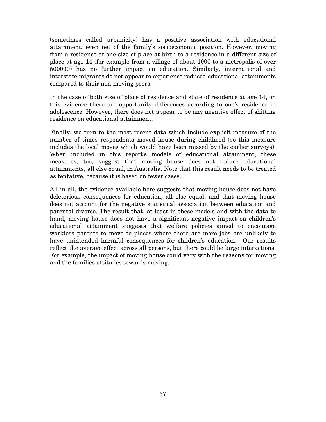(sometimes called urbanicity) has a positive association with educational attainment, even net of the family's socioeconomic position. However, moving from a residence at one size of place at birth to a residence in a different size of place at age 14 (for example from a village of about 1000 to a metropolis of over 500000) has no further impact on education. Similarly, international and interstate migrants do not appear to experience reduced educational attainments compared to their non-moving peers.

In the case of both size of place of residence and state of residence at age 14, on this evidence there are opportunity differences according to one's residence in adolescence. However, there does not appear to be any negative effect of shifting residence on educational attainment.

Finally, we turn to the most recent data which include explicit measure of the number of times respondents moved house during childhood (so this measure includes the local moves which would have been missed by the earlier surveys). When included in this report's models of educational attainment, these measures, too, suggest that moving house does not reduce educational attainments, all else equal, in Australia. Note that this result needs to be treated as tentative, because it is based on fewer cases.

All in all, the evidence available here suggests that moving house does not have deleterious consequences for education, all else equal, and that moving house does not account for the negative statistical association between education and parental divorce. The result that, at least in these models and with the data to hand, moving house does not have a significant negative impact on children's educational attainment suggests that welfare policies aimed to encourage workless parents to move to places where there are more jobs are unlikely to have unintended harmful consequences for children's education. Our results reflect the average effect across all persons, but there could be large interactions. For example, the impact of moving house could vary with the reasons for moving and the families attitudes towards moving.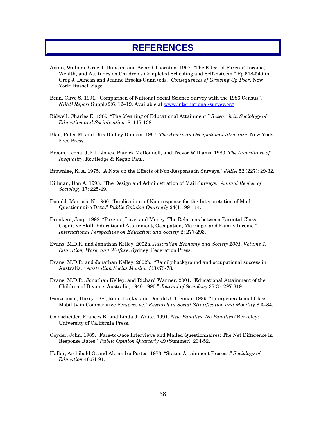# **REFERENCES**

- Axinn, William, Greg J. Duncan, and Arland Thornton. 1997. "The Effect of Parents' Income, Wealth, and Attitudes on Children's Completed Schooling and Self-Esteem." Pp 518-540 in Greg J. Duncan and Jeanne Brooks-Gunn (eds.) *Consequences of Growing Up Poor*. New York: Russell Sage.
- Bean, Clive S. 1991. "Comparison of National Social Science Survey with the 1986 Census". *NSSS Report* Suppl.(2)6: 12–19. Available at www.international-survey.org
- Bidwell, Charles E. 1989. "The Meaning of Educational Attainment." *Research in Sociology of Education and Socialization* 8: 117-138
- Blau, Peter M. and Otis Dudley Duncan. 1967. *The American Occupational Structure*. New York: Free Press.
- Broom, Leonard, F.L. Jones, Patrick McDonnell, and Trevor Williams. 1980. *The Inheritance of Inequality*. Routledge & Kegan Paul.
- Brownlee, K. A. 1975. "A Note on the Effects of Non-Response in Surveys." *JASA* 52 (227): 29-32.
- Dillman, Don A. 1993. "The Design and Administration of Mail Surveys." *Annual Review of Sociology* 17: 225-49.
- Donald, Marjorie N. 1960. "Implications of Non-response for the Interpretation of Mail Questionnaire Data." *Public Opinion Quarterly* 24(1): 99-114.
- Dronkers, Jaap. 1992. "Parents, Love, and Money: The Relations between Parental Class, Cognitive Skill, Educational Attainment, Occupation, Marriage, and Family Income." *International Perspectives on Education and Society* 2: 277-293.
- Evans, M.D.R. and Jonathan Kelley. 2002a. *Australian Economy and Society 2001. Volume 1: Education, Work, and Welfare*. Sydney: Federation Press.
- Evans, M.D.R. and Jonathan Kelley. 2002b. "Family background and occupational success in Australia. " *Australian Social Monitor* 5(3):73-78*.*
- Evans, M.D.R., Jonathan Kelley, and Richard Wanner. 2001. "Educational Attainment of the Children of Divorce: Australia, 1940-1990." *Journal of Sociology* 37(3): 297-319.
- Ganzeboom, Harry B.G., Ruud Luijkx, and Donald J. Treiman 1989. "Intergenerational Class Mobility in Comparative Perspective." *Research in Social Stratification and Mobility* 8:3–84.
- Goldscheider, Frances K. and Linda J. Waite. 1991. *New Families, No Families?* Berkeley: University of California Press.
- Goyder, John. 1985. "Face-to-Face Interviews and Mailed Questionnaires: The Net Difference in Response Rates." *Public Opinion Quarterly* 49 (Summer): 234-52.
- Haller, Archibald O. and Alejandro Portes. 1973. "Status Attainment Process." *Sociology of Education* 46:51-91.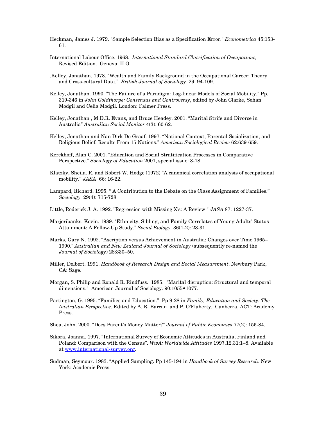Heckman, James J. 1979. "Sample Selection Bias as a Specification Error." *Econometrica* 45:153- 61.

- International Labour Office. 1968. *International Standard Classification of Occupations,*  Revised Edition. Geneva: ILO
- .Kelley, Jonathan. 1978. "Wealth and Family Background in the Occupational Career: Theory and Cross-cultural Data." *British Journal of Sociology* 29: 94-109.
- Kelley, Jonathan. 1990. "The Failure of a Paradigm: Log-linear Models of Social Mobility." Pp. 319-346 in *John Goldthorpe: Consensus and Controversy*, edited by John Clarke, Sohan Modgil and Celia Modgil. London: Falmer Press.
- Kelley, Jonathan , M.D.R. Evans, and Bruce Headey. 2001. "Marital Strife and Divorce in Australia" *Australian Social Monitor* 4(3): 60-62.
- Kelley, Jonathan and Nan Dirk De Graaf. 1997. "National Context, Parental Socialization, and Religious Belief: Results From 15 Nations." *American Sociological Review* 62:639-659.
- Kerckhoff, Alan C. 2001. "Education and Social Stratification Processes in Comparative Perspective." *Sociology of Education* 2001, special issue: 3-18.
- Klatzky, Sheila. R. and Robert W. Hodge (1972) "A canonical correlation analysis of occupational mobility." *JASA* 66: 16-22.
- Lampard, Richard. 1995. " A Contribution to the Debate on the Class Assignment of Families." *Sociology* 29(4): 715-728
- Little, Roderick J. A. 1992. "Regression with Missing X's: A Review." *JASA* 87: 1227-37.
- Marjoribanks, Kevin. 1989. "Ethnicity, Sibling, and Family Correlates of Young Adults' Status Attainment: A Follow-Up Study." *Social Biology* 36(1-2): 23-31.
- Marks, Gary N. 1992. "Ascription versus Achievement in Australia: Changes over Time 1965– 1990." *Australian and New Zealand Journal of Sociology* (subsequently re-named the *Journal of Sociology*) 28:330–50.
- Miller, Delbert. 1991. *Handbook of Research Design and Social Measurement*. Newbury Park, CA: Sage.
- Morgan, S. Philip and Ronald R. Rindfuss. 1985. "Marital disruption: Structural and temporal dimensions." American Journal of Sociology. 90:1055•1077.
- Partington, G. 1995. "Families and Education." Pp 9-28 in *Family, Education and Society: The Australian Perspective*. Edited by A. R. Barcan and P. O'Flaherty. Canberra, ACT: Academy Press.

Shea, John. 2000. "Does Parent's Money Matter?" *Journal of Public Economics* 77(2): 155-84.

- Sikora, Joanna. 1997. "International Survey of Economic Attitudes in Australia, Finland and Poland: Comparison with the Census". *WwA: Worldwide Attitudes* 1997.12.31:1–8. Available at www.international-survey.org.
- Sudman, Seymour. 1983. "Applied Sampling. Pp 145-194 in *Handbook of Survey Research*. New York: Academic Press.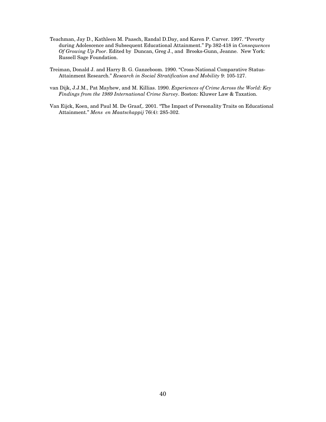- Teachman, Jay D., Kathleen M. Paasch, Randal D.Day, and Karen P. Carver. 1997. "Poverty during Adolescence and Subsequent Educational Attainment." Pp 382-418 in *Consequences Of Growing Up Poor*. Edited by Duncan, Greg J., and Brooks-Gunn, Jeanne. New York: Russell Sage Foundation.
- Treiman, Donald J. and Harry B. G. Ganzeboom. 1990. "Cross-National Comparative Status-Attainment Research." *Research in Social Stratification and Mobility* 9: 105-127.
- van Dijk, J.J.M., Pat Mayhew, and M. Killias. 1990. *Experiences of Crime Across the World: Key Findings from the 1989 International Crime Survey*. Boston: Kluwer Law & Taxation.
- Van Eijck, Koen, and Paul M. De Graaf,. 2001. "The Impact of Personality Traits on Educational Attainment." *Mens en Maatschappij* 76(4): 285-302.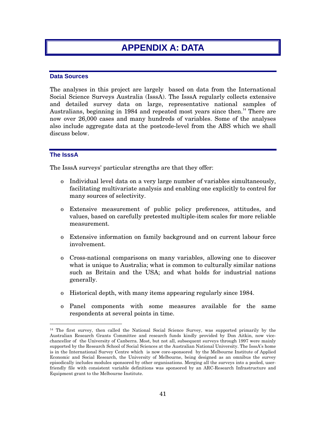# **APPENDIX A: DATA**

## **Data Sources**

The analyses in this project are largely based on data from the International Social Science Surveys Australia (IsssA). The IsssA regularly collects extensive and detailed survey data on large, representative national samples of Australians, beginning in 1984 and repeated most years since then.<sup>14</sup> There are now over 26,000 cases and many hundreds of variables. Some of the analyses also include aggregate data at the postcode-level from the ABS which we shall discuss below.

## **The IsssA**

The IsssA surveys' particular strengths are that they offer:

- o Individual level data on a very large number of variables simultaneously, facilitating multivariate analysis and enabling one explicitly to control for many sources of selectivity.
- o Extensive measurement of public policy preferences, attitudes, and values, based on carefully pretested multiple-item scales for more reliable measurement.
- o Extensive information on family background and on current labour force involvement.
- o Cross-national comparisons on many variables, allowing one to discover what is unique to Australia; what is common to culturally similar nations such as Britain and the USA; and what holds for industrial nations generally.
- o Historical depth, with many items appearing regularly since 1984.
- o Panel components with some measures available for the same respondents at several points in time.

<sup>&</sup>lt;sup>14</sup> The first survey, then called the National Social Science Survey, was supported primarily by the Australian Research Grants Committee and research funds kindly provided by Don Aitkin, now vicechancellor of the University of Canberra. Most, but not all, subsequent surveys through 1997 were mainly supported by the Research School of Social Sciences at the Australian National University. The IsssA's home is in the International Survey Centre which is now core-sponsored by the Melbourne Institute of Applied Economic and Social Research, the University of Melbourne, being designed as an omnibus the survey episodically includes modules sponsored by other organisations. Merging all the surveys into a pooled, userfriendly file with consistent variable definitions was sponsored by an ARC-Research Infrastructure and Equipment grant to the Melbourne Institute.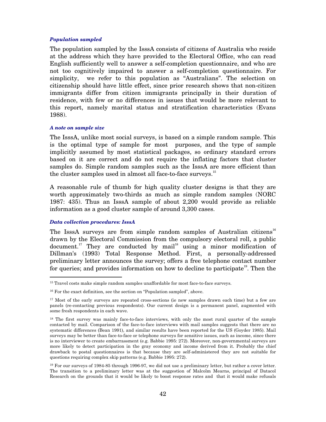#### *Population sampled*

The population sampled by the IsssA consists of citizens of Australia who reside at the address which they have provided to the Electoral Office, who can read English sufficiently well to answer a self-completion questionnaire, and who are not too cognitively impaired to answer a self-completion questionnaire. For simplicity, we refer to this population as "Australians". The selection on citizenship should have little effect, since prior research shows that non-citizen immigrants differ from citizen immigrants principally in their duration of residence, with few or no differences in issues that would be more relevant to this report, namely marital status and stratification characteristics (Evans 1988).

#### *A note on sample size*

The IsssA, unlike most social surveys, is based on a simple random sample. This is the optimal type of sample for most purposes, and the type of sample implicitly assumed by most statistical packages, so ordinary standard errors based on it are correct and do not require the inflating factors that cluster samples do. Simple random samples such as the IsssA are more efficient than the cluster samples used in almost all face-to-face surveys.<sup>15</sup>

A reasonable rule of thumb for high quality cluster designs is that they are worth approximately two-thirds as much as simple random samples (NORC 1987: 435). Thus an IsssA sample of about 2,200 would provide as reliable information as a good cluster sample of around 3,300 cases.

### *Data collection procedures: IsssA*

The IsssA surveys are from simple random samples of Australian citizens<sup>16</sup> drawn by the Electoral Commission from the compulsory electoral roll, a public document.<sup>17</sup> They are conducted by mail<sup>18</sup> using a minor modification of Dillman's (1993) Total Response Method. First, a personally-addressed preliminary letter announces the survey; offers a free telephone contact number for queries; and provides information on how to decline to participate<sup>19</sup>. Then the

<sup>&</sup>lt;sup>15</sup> Travel costs make simple random samples unaffordable for most face-to-face surveys.

<sup>&</sup>lt;sup>16</sup> For the exact definition, see the section on "Population sampled", above.

<sup>&</sup>lt;sup>17</sup> Most of the early surveys are repeated cross-sections (ie new samples drawn each time) but a few are panels (re-contacting previous respondents). Our current design is a permanent panel, augmented with some fresh respondents in each wave.

<sup>&</sup>lt;sup>18</sup> The first survey was mainly face-to-face interviews, with only the most rural quarter of the sample contacted by mail. Comparison of the face-to-face interviews with mail samples suggests that there are no systematic differences (Bean 1991), and similar results have been reported for the US (Goyder 1985). Mail surveys may be better than face-to-face or telephone surveys for sensitive issues, such as income, since there is no interviewer to create embarrassment (e.g. Babbie 1995: 272). Moreover, non-governmental surveys are more likely to detect participation in the gray economy and income derived from it. Probably the chief drawback to postal questionnaires is that because they are self-administered they are not suitable for questions requiring complex skip patterns (e.g. Babbie 1995: 272).

<sup>19</sup> For our surveys of 1984-85 through 1996-97, we did not use a preliminary letter, but rather a cover letter. The transition to a preliminary letter was at the suggestion of Malcolm Mearns, principal of Datacol Research on the grounds that it would be likely to boost response rates and that it would make refusals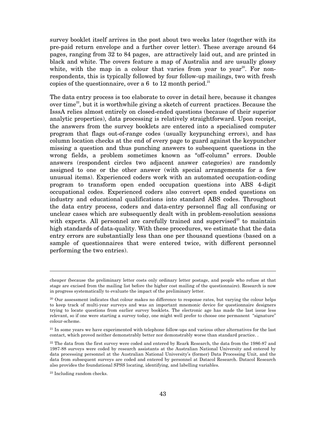survey booklet itself arrives in the post about two weeks later (together with its pre-paid return envelope and a further cover letter). These average around 64 pages, ranging from 32 to 84 pages, are attractively laid out, and are printed in black and white. The covers feature a map of Australia and are usually glossy white, with the map in a colour that varies from year to year<sup>20</sup>. For nonrespondents, this is typically followed by four follow-up mailings, two with fresh copies of the questionnaire, over a 6 to 12 month period.<sup>21</sup>

The data entry process is too elaborate to cover in detail here, because it changes over time<sup>22</sup>, but it is worthwhile giving a sketch of current practices. Because the IsssA relies almost entirely on closed-ended questions (because of their superior analytic properties), data processing is relatively straightforward. Upon receipt, the answers from the survey booklets are entered into a specialised computer program that flags out-of-range codes (usually keypunching errors), and has column location checks at the end of every page to guard against the keypuncher missing a question and thus punching answers to subsequent questions in the wrong fields, a problem sometimes known as "off-column" errors. Double answers (respondent circles two adjacent answer categories) are randomly assigned to one or the other answer (with special arrangements for a few unusual items). Experienced coders work with an automated occupation-coding program to transform open ended occupation questions into ABS 4-digit occupational codes. Experienced coders also convert open ended questions on industry and educational qualifications into standard ABS codes. Throughout the data entry process, coders and data-entry personnel flag all confusing or unclear cases which are subsequently dealt with in problem-resolution sessions with experts. All personnel are carefully trained and supervised<sup>23</sup> to maintain high standards of data-quality. With these procedures, we estimate that the data entry errors are substantially less than one per thousand questions (based on a sample of questionnaires that were entered twice, with different personnel performing the two entries).

cheaper (because the preliminary letter costs only ordinary letter postage, and people who refuse at that stage are excised from the mailing list before the higher cost mailing of the questionnaire). Research is now in progress systematically to evaluate the impact of the preliminary letter.

<sup>&</sup>lt;sup>20</sup> Our assessment indicates that colour makes no difference to response rates, but varying the colour helps to keep track of multi-year surveys and was an important mnemonic device for questionnaire designers trying to locate questions from earlier survey booklets. The electronic age has made the last issue less relevant, so if one were starting a survey today, one might well prefer to choose one permanent "signature" colour-scheme.

<sup>&</sup>lt;sup>21</sup> In some years we have experimented with telephone follow-ups and various other alternatives for the last contact, which proved neither demonstrably better nor demonstrably worse than standard practice. .

 $22$  The data from the first survey were coded and entered by Reark Research, the data from the 1986-87 and 1987-88 surveys were coded by research assistants at the Australian National University and entered by data processing personnel at the Australian National University's (former) Data Processing Unit, and the data from subsequent surveys are coded and entered by personnel at Datacol Research. Datacol Research also provides the foundational SPSS locating, identifying, and labelling variables.

<sup>23</sup> Including random checks.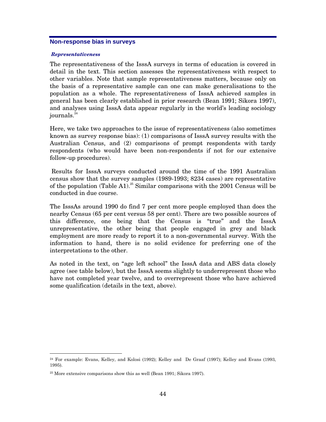### **Non-response bias in surveys**

#### *Representativeness*

The representativeness of the IsssA surveys in terms of education is covered in detail in the text. This section assesses the representativeness with respect to other variables. Note that sample representativeness matters, because only on the basis of a representative sample can one can make generalisations to the population as a whole. The representativeness of IsssA achieved samples in general has been clearly established in prior research (Bean 1991; Sikora 1997), and analyses using IsssA data appear regularly in the world's leading sociology journals.<sup>24</sup>

Here, we take two approaches to the issue of representativeness (also sometimes known as survey response bias): (1) comparisons of IsssA survey results with the Australian Census, and (2) comparisons of prompt respondents with tardy respondents (who would have been non-respondents if not for our extensive follow-up procedures).

 Results for IsssA surveys conducted around the time of the 1991 Australian census show that the survey samples (1989-1993; 8234 cases) are representative of the population (Table A1).<sup>25</sup> Similar comparisons with the 2001 Census will be conducted in due course.

The IsssAs around 1990 do find 7 per cent more people employed than does the nearby Census (65 per cent versus 58 per cent). There are two possible sources of this difference, one being that the Census is "true" and the IsssA unrepresentative, the other being that people engaged in grey and black employment are more ready to report it to a non-governmental survey. With the information to hand, there is no solid evidence for preferring one of the interpretations to the other.

As noted in the text, on "age left school" the IsssA data and ABS data closely agree (see table below), but the IsssA seems slightly to underrepresent those who have not completed year twelve, and to overrepresent those who have achieved some qualification (details in the text, above).

<sup>24</sup> For example: Evans, Kelley, and Kolosi (1992); Kelley and De Graaf (1997); Kelley and Evans (1993, 1995).

<sup>25</sup> More extensive comparisons show this as well (Bean 1991; Sikora 1997).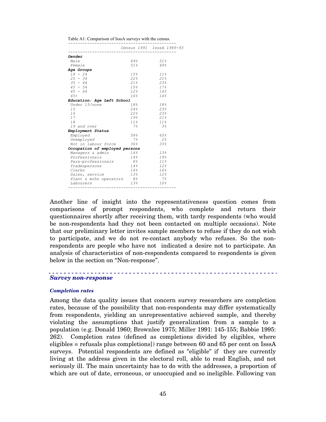Table A1: Comparison of IsssA surveys with the census.

|                                |                 | Census 1991 IsssA 1989-93 |
|--------------------------------|-----------------|---------------------------|
| <i>Gender</i>                  |                 |                           |
| Male                           | 49%             | 51 <sub>8</sub>           |
| Female                         | 51%             | 49.8                      |
| Age Groups                     |                 |                           |
| $18 - 24$                      | 15.8            | 118                       |
| $25 - 34$                      | 22 <sup>8</sup> | 21%                       |
| $35 - 44$                      | 218             | 238                       |
| $45 - 54$                      | 15 <sub>8</sub> | 17 <sub>8</sub>           |
| $45 - 64$                      | 12 <sup>8</sup> | $14\frac{6}{5}$           |
| 65+                            | 16 <sup>8</sup> | 148                       |
| Education: Age Left School     |                 |                           |
| Under 15/none                  | 18 <sup>°</sup> | 18%                       |
| 15                             | 24.8            | 238                       |
| 16                             | 228             | 23%                       |
| 17                             | 19%             | 21%                       |
| 18                             | 118             | 118                       |
| 19 and over                    | 7 응             | 3 <sup>o</sup>            |
| Employment Status              |                 |                           |
| Emploved                       | 58.8            | 65%                       |
| Unemployed                     | 7%              | 2.8                       |
| Not in labour force            | 36 <sup>8</sup> | 33 <sup>8</sup>           |
| Occupation of employed persons |                 |                           |
| <i>Managers &amp; admin</i>    | 148             | 138                       |
| Professionals                  | 148             | 19%                       |
| Para-professionals             | 8 <sup>8</sup>  | 11 <sup>8</sup>           |
| Tradespersons                  | 14 <sub>8</sub> | 12 <sub>8</sub>           |
| Clerks                         | 16 <sup>o</sup> | 16 <sub>8</sub>           |
| Sales, service                 | 138             | 128                       |
| Plant & mchn operators 8%      |                 | 7%                        |
| Labourers                      | 138             | 10 <sub>8</sub>           |

Another line of insight into the representativeness question comes from comparisons of prompt respondents, who complete and return their questionnaires shortly after receiving them, with tardy respondents (who would be non-respondents had they not been contacted on multiple occasions). Note that our preliminary letter invites sample members to refuse if they do not wish to participate, and we do not re-contact anybody who refuses. So the nonrespondents are people who have not indicated a desire not to participate. An analysis of characteristics of non-respondents compared to respondents is given below in the section on "Non-response".

## *Survey non-response*

#### *Completion rates*

Among the data quality issues that concern survey researchers are completion rates, because of the possibility that non-respondents may differ systematically from respondents, yielding an unrepresentative achieved sample, and thereby violating the assumptions that justify generalization from a sample to a population (e.g. Donald 1960; Brownlee 1975; Miller 1991: 145-155; Babbie 1995: 262). Completion rates (defined as completions divided by eligibles, where eligibles = refusals plus completions]) range between 60 and 65 per cent on IsssA surveys. Potential respondents are defined as "eligible" if they are currently living at the address given in the electoral roll, able to read English, and not seriously ill. The main uncertainty has to do with the addresses, a proportion of which are out of date, erroneous, or unoccupied and so ineligible. Following van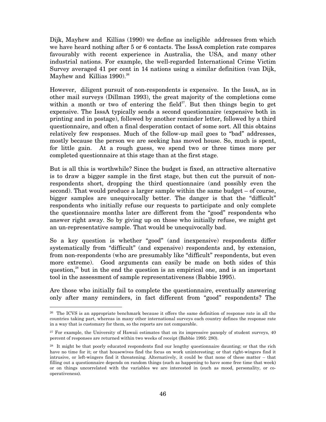Dijk, Mayhew and Killias (1990) we define as ineligible addresses from which we have heard nothing after 5 or 6 contacts. The IsssA completion rate compares favourably with recent experience in Australia, the USA, and many other industrial nations. For example, the well-regarded International Crime Victim Survey averaged 41 per cent in 14 nations using a similar definition (van Dijk, Mayhew and Killias  $1990.<sup>26</sup>$ 

However, diligent pursuit of non-respondents is expensive. In the IsssA, as in other mail surveys (Dillman 1993), the great majority of the completions come within a month or two of entering the field $27$ . But then things begin to get expensive. The IsssA typically sends a second questionnaire (expensive both in printing and in postage), followed by another reminder letter, followed by a third questionnaire, and often a final desperation contact of some sort. All this obtains relatively few responses. Much of the follow-up mail goes to "bad" addresses, mostly because the person we are seeking has moved house. So, much is spent, for little gain. At a rough guess, we spend two or three times more per completed questionnaire at this stage than at the first stage.

But is all this is worthwhile? Since the budget is fixed, an attractive alternative is to draw a bigger sample in the first stage, but then cut the pursuit of nonrespondents short, dropping the third questionnaire (and possibly even the second). That would produce a larger sample within the same budget – of course, bigger samples are unequivocally better. The danger is that the "difficult" respondents who initially refuse our requests to participate and only complete the questionnaire months later are different from the "good" respondents who answer right away. So by giving up on those who initially refuse, we might get an un-representative sample. That would be unequivocally bad.

So a key question is whether "good" (and inexpensive) respondents differ systematically from "difficult" (and expensive) respondents and, by extension, from non-respondents (who are presumably like "difficult" respondents, but even more extreme). Good arguments can easily be made on both sides of this question, $^{28}$  but in the end the question is an empirical one, and is an important tool in the assessment of sample representativeness (Babbie 1995).

Are those who initially fail to complete the questionnaire, eventually answering only after many reminders, in fact different from "good" respondents? The

<sup>26</sup> The ICVS is an appropriate benchmark because it offers the same definition of response rate in all the countries taking part, whereas in many other international surveys each country defines the response rate in a way that is customary for them, so the reports are not comparable.

<sup>&</sup>lt;sup>27</sup> For example, the University of Hawaii estimates that on its impressive panoply of student surveys, 40 percent of responses are returned within two weeks of receipt (Babbie 1995: 280).

<sup>&</sup>lt;sup>28</sup> It might be that poorly educated respondents find our lengthy questionnaire daunting; or that the rich have no time for it; or that housewives find the focus on work uninteresting; or that right-wingers find it intrusive, or left-wingers find it threatening. Alternatively, it could be that none of these matter – that filling out a questionnaire depends on random things (such as happening to have some free time that week) or on things uncorrelated with the variables we are interested in (such as mood, personality, or cooperativeness).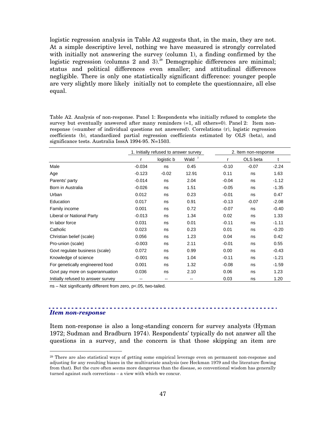logistic regression analysis in Table A2 suggests that, in the main, they are not. At a simple descriptive level, nothing we have measured is strongly correlated with initially not answering the survey (column 1), a finding confirmed by the logistic regression (columns 2 and 3).<sup>29</sup> Demographic differences are minimal; status and political differences even smaller; and attitudinal differences negligible. There is only one statistically significant difference: younger people are very slightly more likely initially not to complete the questionnaire, all else equal.

Table A2. Analysis of non-response. Panel 1: Respondents who initially refused to complete the survey but eventually answered after many reminders (=1, all others=0). Panel 2: Item nonresponse (=number of individual questions not answered). Correlations (r), logistic regression coefficients (b), standardized partial regression coefficients estimated by OLS (beta), and significance tests. Australia IsssA 1994-95. N=1503.

|                                    | 1. Initially refused to answer survey |            |          | 2. Item non-response          |  |  |
|------------------------------------|---------------------------------------|------------|----------|-------------------------------|--|--|
|                                    |                                       | logistic b | Wald $2$ | OLS beta<br>t<br>r            |  |  |
| Male                               | $-0.034$                              | ns         | 0.45     | $-0.10$<br>$-0.07$<br>$-2.24$ |  |  |
| Age                                | $-0.123$                              | $-0.02$    | 12.91    | 0.11<br>1.63<br>ns            |  |  |
| Parents' party                     | $-0.014$                              | ns         | 2.04     | $-0.04$<br>$-1.12$<br>ns      |  |  |
| Born in Australia                  | $-0.026$                              | ns         | 1.51     | $-0.05$<br>$-1.35$<br>ns      |  |  |
| Urban                              | 0.012                                 | ns         | 0.23     | $-0.01$<br>0.47<br>ns         |  |  |
| Education                          | 0.017                                 | ns         | 0.91     | $-2.08$<br>$-0.13$<br>$-0.07$ |  |  |
| Family income                      | 0.001                                 | ns         | 0.72     | $-0.07$<br>$-0.40$<br>ns      |  |  |
| Liberal or National Party          | $-0.013$                              | ns         | 1.34     | 0.02<br>1.33<br>ns            |  |  |
| In labor force                     | 0.031                                 | ns         | 0.01     | $-0.11$<br>$-1.11$<br>ns      |  |  |
| Catholic                           | 0.023                                 | ns         | 0.23     | $-0.20$<br>0.01<br>ns         |  |  |
| Christian belief (scale)           | 0.056                                 | ns         | 1.23     | 0.04<br>0.42<br>ns            |  |  |
| Pro-union (scale)                  | $-0.003$                              | ns         | 2.11     | $-0.01$<br>0.55<br>ns         |  |  |
| Govt regulate business (scale)     | 0.072                                 | ns         | 0.99     | 0.00<br>$-0.43$<br>ns         |  |  |
| Knowledge of science               | $-0.001$                              | ns         | 1.04     | $-0.11$<br>$-1.21$<br>ns      |  |  |
| For genetically engineered food    | 0.001                                 | ns         | 1.32     | $-0.08$<br>$-1.59$<br>ns      |  |  |
| Govt pay more on superannuation    | 0.036                                 | ns         | 2.10     | 0.06<br>1.23<br>ns            |  |  |
| Initially refused to answer survey |                                       | --         |          | 1.20<br>0.03<br>ns            |  |  |

ns – Not significantly different from zero, p<.05, two-tailed.

## *Item non-response*

Item non-response is also a long-standing concern for survey analysts (Hyman 1972; Sudman and Bradburn 1974). Respondents' typically do not answer all the questions in a survey, and the concern is that those skipping an item are

<sup>&</sup>lt;sup>29</sup> There are also statistical ways of getting some empirical leverage even on permanent non-response and adjusting for any resulting biases in the multivariate analysis (see Heckman 1979 and the literature flowing from that). But the cure often seems more dangerous than the disease, so conventional wisdom has generally turned against such corrections – a view with which we concur.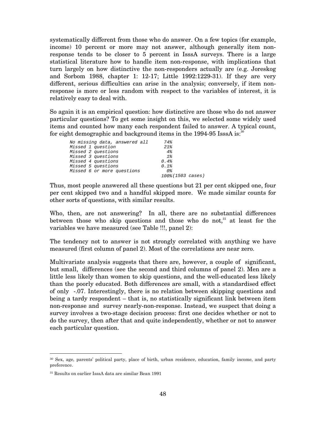systematically different from those who do answer. On a few topics (for example, income) 10 percent or more may not answer, although generally item nonresponse tends to be closer to 5 percent in IsssA surveys. There is a large statistical literature how to handle item non-response, with implications that turn largely on how distinctive the non-responders actually are (e.g. Joreskog and Sorbom 1988, chapter 1: 12-17; Little 1992:1229-31). If they are very different, serious difficulties can arise in the analysis; conversely, if item nonresponse is more or less random with respect to the variables of interest, it is relatively easy to deal with.

So again it is an empirical question: how distinctive are those who do not answer particular questions? To get some insight on this, we selected some widely used items and counted how many each respondent failed to answer. A typical count, for eight demographic and background items in the 1994-95 IsssA is:<sup>30</sup>

| No missing data, answered all | 74%               |
|-------------------------------|-------------------|
| Missed 1 question             | 21%               |
| Missed 2 questions            | 4%                |
| Missed 3 questions            | $1\%$             |
| Missed 4 questions            | 0.4%              |
| Missed 5 questions            | 0.1%              |
| Missed 6 or more questions    | 0%                |
|                               | 100% (1503 cases) |
|                               |                   |

Thus, most people answered all these questions but 21 per cent skipped one, four per cent skipped two and a handful skipped more. We made similar counts for other sorts of questions, with similar results.

Who, then, are not answering? In all, there are no substantial differences between those who skip questions and those who do not, $31$  at least for the variables we have measured (see Table !!!, panel 2):

The tendency not to answer is not strongly correlated with anything we have measured (first column of panel 2). Most of the correlations are near zero.

Multivariate analysis suggests that there are, however, a couple of significant, but small, differences (see the second and third columns of panel 2). Men are a little less likely than women to skip questions, and the well-educated less likely than the poorly educated. Both differences are small, with a standardised effect of only -.07. Interestingly, there is no relation between skipping questions and being a tardy respondent – that is, no statistically significant link between item non-response and survey nearly-non-response. Instead, we suspect that doing a survey involves a two-stage decision process: first one decides whether or not to do the survey, then after that and quite independently, whether or not to answer each particular question.

<sup>30</sup> Sex, age, parents' political party, place of birth, urban residence, education, family income, and party preference.

<sup>31</sup> Results on earlier IsssA data are similar Bean 1991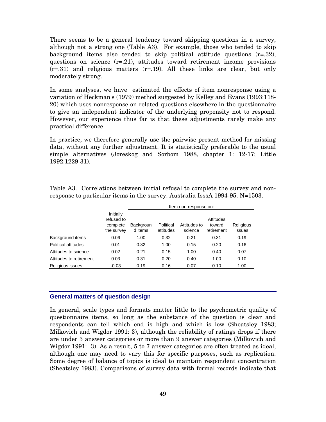There seems to be a general tendency toward skipping questions in a survey, although not a strong one (Table A3). For example, those who tended to skip background items also tended to skip political attitude questions  $(r=.32)$ , questions on science  $(r=.21)$ , attitudes toward retirement income provisions  $(r=.31)$  and religious matters  $(r=.19)$ . All these links are clear, but only moderately strong.

In some analyses, we have estimated the effects of item nonresponse using a variation of Heckman's (1979) method suggested by Kelley and Evans (1993:118- 20) which uses nonresponse on related questions elsewhere in the questionnaire to give an independent indicator of the underlying propensity not to respond. However, our experience thus far is that these adjustments rarely make any practical difference.

In practice, we therefore generally use the pairwise present method for missing data, without any further adjustment. It is statistically preferable to the usual simple alternatives (Joreskog and Sorbom 1988, chapter 1: 12-17; Little 1992:1229-31).

|                         |                                                   | Item non-response on:       |                        |                         |                                   |                     |  |
|-------------------------|---------------------------------------------------|-----------------------------|------------------------|-------------------------|-----------------------------------|---------------------|--|
|                         | Initially<br>refused to<br>complete<br>the survey | <b>Backgroun</b><br>d items | Political<br>attitudes | Attitudes to<br>science | Attitudes<br>toward<br>retirement | Religious<br>issues |  |
| Background items        | 0.06                                              | 1.00                        | 0.32                   | 0.21                    | 0.31                              | 0.19                |  |
| Political attitudes     | 0.01                                              | 0.32                        | 1.00                   | 0.15                    | 0.20                              | 0.16                |  |
| Attitudes to science    | 0.02                                              | 0.21                        | 0.15                   | 1.00                    | 0.40                              | 0.07                |  |
| Attitudes to retirement | 0.03                                              | 0.31                        | 0.20                   | 0.40                    | 1.00                              | 0.10                |  |
| Religious issues        | $-0.03$                                           | 0.19                        | 0.16                   | 0.07                    | 0.10                              | 1.00                |  |

Table A3. Correlations between initial refusal to complete the survey and nonresponse to particular items in the survey. Australia IsssA 1994-95. N=1503.

## **General matters of question design**

In general, scale types and formats matter little to the psychometric quality of questionnaire items, so long as the substance of the question is clear and respondents can tell which end is high and which is low (Sheatsley 1983; Milkovich and Wigdor 1991: 3), although the reliability of ratings drops if there are under 3 answer categories or more than 9 answer categories (Milkovich and Wigdor 1991: 3). As a result, 5 to 7 answer categories are often treated as ideal, although one may need to vary this for specific purposes, such as replication. Some degree of balance of topics is ideal to maintain respondent concentration (Sheatsley 1983). Comparisons of survey data with formal records indicate that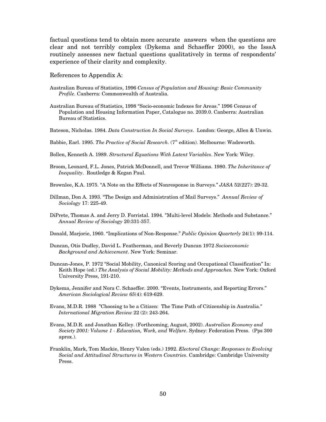factual questions tend to obtain more accurate answers when the questions are clear and not terribly complex (Dykema and Schaeffer 2000), so the IsssA routinely assesses new factual questions qualitatively in terms of respondents' experience of their clarity and complexity.

#### References to Appendix A:

- Australian Bureau of Statistics, 1996 *Census of Population and Housing: Basic Community Profile*. Canberra: Commonwealth of Australia.
- Australian Bureau of Statistics, 1998 "Socio-economic Indexes for Areas." 1996 Census of Population and Housing Information Paper, Catalogue no. 2039.0. Canberra: Australian Bureau of Statistics.
- Bateson, Nicholas. 1984. *Data Construction In Social Surveys*. London: George, Allen & Unwin.
- Babbie, Earl. 1995. *The Practice of Social Research*. (7<sup>th</sup> edition). Melbourne: Wadsworth.
- Bollen, Kenneth A. 1989. *Structural Equations With Latent Variables*. New York: Wiley.
- Broom, Leonard, F.L. Jones, Patrick McDonnell, and Trevor Williams. 1980. *The Inheritance of Inequality*. Routledge & Kegan Paul.

Brownlee, K.A. 1975. "A Note on the Effects of Nonresponse in Surveys." *JASA* 52(227): 29-32.

- Dillman, Don A. 1993. "The Design and Administration of Mail Surveys." *Annual Review of Sociology* 17: 225-49.
- DiPrete, Thomas A. and Jerry D. Forristal. 1994. "Multi-level Models: Methods and Substance." *Annual Review of Sociology* 20:331-357.
- Donald, Marjorie, 1960. "Implications of Non-Response." *Public Opinion Quarterly* 24(1): 99-114.
- Duncan, Otis Dudley, David L. Featherman, and Beverly Duncan 1972 *Socioeconomic Background and Achievement*. New York: Seminar.
- Duncan-Jones, P. 1972 "Social Mobility, Canonical Scoring and Occupational Classification" In: Keith Hope (ed.) *The Analysis of Social Mobility: Methods and Approaches.* New York: Oxford University Press, 191-210.
- Dykema, Jennifer and Nora C. Schaeffer. 2000. "Events, Instruments, and Reporting Errors." *American Sociological Review 65*(4): 619-629.
- Evans, M.D.R. 1988 "Choosing to be a Citizen: The Time Path of Citizenship in Australia." *International Migration Review* 22 (2): 243-264.
- Evans, M.D.R. and Jonathan Kelley. (Forthcoming, August, 2002). *Australian Economy and Society 2001: Volume 1 - Education, Work, and Welfare*. Sydney: Federation Press. (Pps 300 aprox.).
- Franklin, Mark, Tom Mackie, Henry Valen (eds.) 1992. *Electoral Change: Responses to Evolving Social and Attitudinal Structures in Western Countries*. Cambridge: Cambridge University Press.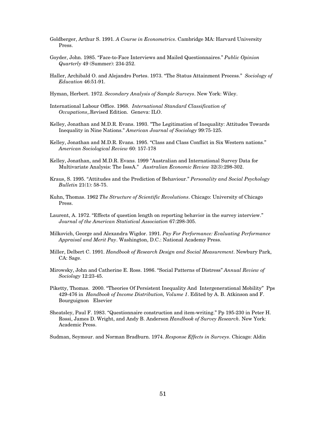- Goldberger, Arthur S. 1991. *A Course in Econometrics*. Cambridge MA: Harvard University Press.
- Goyder, John. 1985. "Face-to-Face Interviews and Mailed Questionnaires." *Public Opinion Quarterly* 49 (Summer): 234-252.
- Haller, Archibald O. and Alejandro Portes. 1973. "The Status Attainment Process." *Sociology of Education* 46:51-91.
- Hyman, Herbert. 1972. *Secondary Analysis of Sample Surveys*. New York: Wiley.
- International Labour Office. 1968. *International Standard Classification of Occupations*,.Revised Edition. Geneva: ILO.
- Kelley, Jonathan and M.D.R. Evans. 1993. "The Legitimation of Inequality: Attitudes Towards Inequality in Nine Nations." *American Journal of Sociology* 99:75-125.
- Kelley, Jonathan and M.D.R. Evans. 1995. "Class and Class Conflict in Six Western nations." *American Sociological Review* 60: 157-178
- Kelley, Jonathan, and M.D.R. Evans. 1999 "Australian and International Survey Data for Multivariate Analysis: The IsssA." *Australian Economic Review* 32(3):298-302.
- Kraus, S. 1995. "Attitudes and the Prediction of Behaviour." *Personality and Social Psychology Bulletin* 21(1): 58-75.
- Kuhn, Thomas. 1962 *The Structure of Scientific Revolutions*. Chicago: University of Chicago Press.
- Laurent, A. 1972. "Effects of question length on reporting behavior in the survey interview." *Journal of the American Statistical Association* 67:298-305.
- Milkovich, George and Alexandra Wigdor. 1991. *Pay For Performance: Evaluating Performance Appraisal and Merit Pay*. Washington, D.C.: National Academy Press.
- Miller, Delbert C. 1991. *Handbook of Research Design and Social Measurement*. Newbury Park, CA: Sage.
- Mirowsky, John and Catherine E. Ross. 1986. "Social Patterns of Distress" *Annual Review of Sociology* 12:23-45.
- Piketty, Thomas. 2000. "Theories Of Persistent Inequality And Intergenerational Mobility" Pps 429-476 in *Handbook of Income Distribution, Volume 1*. Edited by A. B. Atkinson and F. Bourguignon Elsevier
- Sheatsley, Paul F. 1983. "Questionnaire construction and item-writing." Pp 195-230 in Peter H. Rossi, James D. Wright, and Andy B. Anderson *Handbook of Survey Research*. New York: Academic Press.

Sudman, Seymour. and Norman Bradburn. 1974. *Response Effects in Surveys*. Chicago: Aldin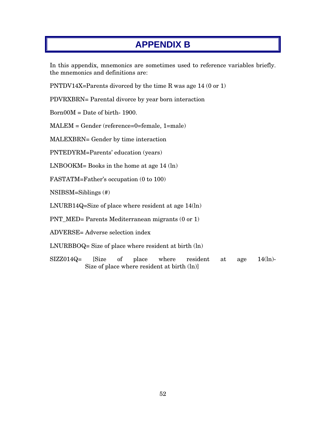# **APPENDIX B**

In this appendix, mnemonics are sometimes used to reference variables briefly. the mnemonics and definitions are:

PNTDV14X=Parents divorced by the time R was age 14 (0 or 1)

PDVRXBRN= Parental divorce by year born interaction

 $Born00M = Date of birth-1900.$ 

MALEM = Gender (reference=0=female, 1=male)

MALEXBRN= Gender by time interaction

PNTEDYRM=Parents' education (years)

LNBOOKM= Books in the home at age 14 (ln)

FASTATM=Father's occupation (0 to 100)

NSIBSM=Siblings (#)

LNURB14Q=Size of place where resident at age 14(ln)

PNT\_MED= Parents Mediterranean migrants (0 or 1)

ADVERSE= Adverse selection index

LNURBBOQ= Size of place where resident at birth (ln)

SIZZ014Q= [Size of place where resident at age 14(ln)- Size of place where resident at birth (ln)]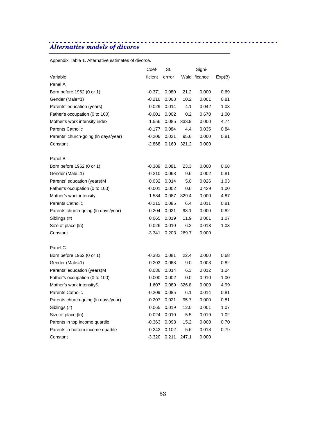# *Alternative models of divorce*

Appendix Table 1. Alternative estimates of divorce.

|                                      | Coef-    | St.            |       | Signi-       |        |
|--------------------------------------|----------|----------------|-------|--------------|--------|
| Variable                             | ficient  | errror         |       | Wald ficance | Exp(B) |
| Panel A                              |          |                |       |              |        |
| Born before 1962 (0 or 1)            | $-0.371$ | 0.080          | 21.2  | 0.000        | 0.69   |
| Gender (Male=1)                      | $-0.216$ | 0.068          | 10.2  | 0.001        | 0.81   |
| Parents' education (years)           | 0.029    | 0.014          | 4.1   | 0.042        | 1.03   |
| Father's occupation (0 to 100)       | -0.001   | 0.002          | 0.2   | 0.670        | 1.00   |
| Mother's work intensity index        | 1.556    | 0.085          | 333.9 | 0.000        | 4.74   |
| <b>Parents Catholic</b>              | $-0.177$ | 0.084          | 4.4   | 0.035        | 0.84   |
| Parents' church-going (In days/year) | $-0.206$ | 0.021          | 95.6  | 0.000        | 0.81   |
| Constant                             | -2.868   | 0.160          | 321.2 | 0.000        |        |
| Panel B                              |          |                |       |              |        |
| Born before 1962 (0 or 1)            | $-0.389$ | 0.081          | 23.3  | 0.000        | 0.68   |
| Gender (Male=1)                      | $-0.210$ | 0.068          | 9.6   | 0.002        | 0.81   |
| Parents' education (years)M          | 0.032    | 0.014          | 5.0   | 0.026        | 1.03   |
| Father's occupation (0 to 100)       | $-0.001$ | 0.002          | 0.6   | 0.429        | 1.00   |
| Mother's work intensity              | 1.584    | 0.087          | 329.4 | 0.000        | 4.87   |
| <b>Parents Catholic</b>              | $-0.215$ | 0.085          | 6.4   | 0.011        | 0.81   |
| Parents church-going (In days/year)  | $-0.204$ | 0.021          | 93.1  | 0.000        | 0.82   |
| Siblings (#)                         | 0.065    | 0.019          | 11.9  | 0.001        | 1.07   |
| Size of place (ln)                   | 0.026    | 0.010          | 6.2   | 0.013        | 1.03   |
| Constant                             | $-3.341$ | 0.203          | 269.7 | 0.000        |        |
| Panel C                              |          |                |       |              |        |
| Born before 1962 (0 or 1)            | $-0.382$ | 0.081          | 22.4  | 0.000        | 0.68   |
| Gender (Male=1)                      | -0.203   | 0.068          | 9.0   | 0.003        | 0.82   |
| Parents' education (years)M          | 0.036    | 0.014          | 6.3   | 0.012        | 1.04   |
| Father's occupation (0 to 100)       | 0.000    | 0.002          | 0.0   | 0.910        | 1.00   |
| Mother's work intensity\$            | 1.607    | 0.089          | 326.8 | 0.000        | 4.99   |
| <b>Parents Catholic</b>              | $-0.209$ | 0.085          | 6.1   | 0.014        | 0.81   |
| Parents church-going (In days/year)  | $-0.207$ | 0.021          | 95.7  | 0.000        | 0.81   |
| Siblings (#)                         | 0.065    | 0.019          | 12.0  | 0.001        | 1.07   |
| Size of place (ln)                   | 0.024    | 0.010          | 5.5   | 0.019        | 1.02   |
| Parents in top income quartile       |          | $-0.363$ 0.093 | 15.2  | 0.000        | 0.70   |
| Parents in bottom income quartile    | $-0.242$ | 0.102          | 5.6   | 0.018        | 0.79   |
| Constant                             | $-3.320$ | 0.211          | 247.1 | 0.000        |        |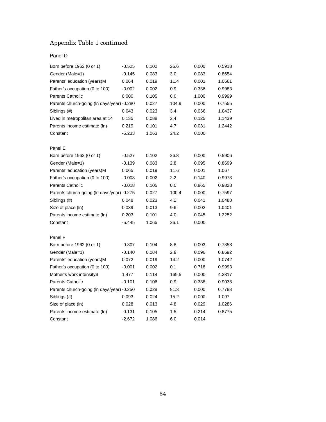# Appendix Table 1 continued

## Panel D

| Born before 1962 (0 or 1)                  | $-0.525$ | 0.102 | 26.6  | 0.000 | 0.5918 |
|--------------------------------------------|----------|-------|-------|-------|--------|
| Gender (Male=1)                            | $-0.145$ | 0.083 | 3.0   | 0.083 | 0.8654 |
| Parents' education (years)M                | 0.064    | 0.019 | 11.4  | 0.001 | 1.0661 |
| Father's occupation (0 to 100)             | $-0.002$ | 0.002 | 0.9   | 0.336 | 0.9983 |
| <b>Parents Catholic</b>                    | 0.000    | 0.105 | 0.0   | 1.000 | 0.9999 |
| Parents church-going (In days/year) -0.280 |          | 0.027 | 104.9 | 0.000 | 0.7555 |
| Siblings (#)                               | 0.043    | 0.023 | 3.4   | 0.066 | 1.0437 |
| Lived in metropolitan area at 14           | 0.135    | 0.088 | 2.4   | 0.125 | 1.1439 |
| Parents income estimate (ln)               | 0.219    | 0.101 | 4.7   | 0.031 | 1.2442 |
| Constant                                   | $-5.233$ | 1.063 | 24.2  | 0.000 |        |
| Panel E                                    |          |       |       |       |        |
| Born before 1962 (0 or 1)                  | $-0.527$ | 0.102 | 26.8  | 0.000 | 0.5906 |
| Gender (Male=1)                            | $-0.139$ | 0.083 | 2.8   | 0.095 | 0.8699 |
| Parents' education (years)M                | 0.065    | 0.019 | 11.6  | 0.001 | 1.067  |
| Father's occupation (0 to 100)             | $-0.003$ | 0.002 | 2.2   | 0.140 | 0.9973 |
| <b>Parents Catholic</b>                    | $-0.018$ | 0.105 | 0.0   | 0.865 | 0.9823 |
| Parents church-going (In days/year) -0.275 |          | 0.027 | 100.4 | 0.000 | 0.7597 |
| Siblings (#)                               | 0.048    | 0.023 | 4.2   | 0.041 | 1.0488 |
| Size of place (ln)                         | 0.039    | 0.013 | 9.6   | 0.002 | 1.0401 |
| Parents income estimate (ln)               | 0.203    | 0.101 | 4.0   | 0.045 | 1.2252 |
| Constant                                   | $-5.445$ | 1.065 | 26.1  | 0.000 |        |
| Panel F                                    |          |       |       |       |        |
| Born before 1962 (0 or 1)                  | $-0.307$ | 0.104 | 8.8   | 0.003 | 0.7358 |
| Gender (Male=1)                            | $-0.140$ | 0.084 | 2.8   | 0.096 | 0.8692 |
| Parents' education (years)M                | 0.072    | 0.019 | 14.2  | 0.000 | 1.0742 |
| Father's occupation (0 to 100)             | $-0.001$ | 0.002 | 0.1   | 0.718 | 0.9993 |
| Mother's work intensity\$                  | 1.477    | 0.114 | 169.5 | 0.000 | 4.3817 |
| <b>Parents Catholic</b>                    | $-0.101$ | 0.106 | 0.9   | 0.338 | 0.9038 |
| Parents church-going (In days/year) -0.250 |          | 0.028 | 81.3  | 0.000 | 0.7788 |
| Siblings (#)                               | 0.093    | 0.024 | 15.2  | 0.000 | 1.097  |
| Size of place (ln)                         | 0.028    | 0.013 | 4.8   | 0.029 | 1.0286 |
| Parents income estimate (In)               | $-0.131$ | 0.105 | 1.5   | 0.214 | 0.8775 |
| Constant                                   | $-2.672$ | 1.086 | 6.0   | 0.014 |        |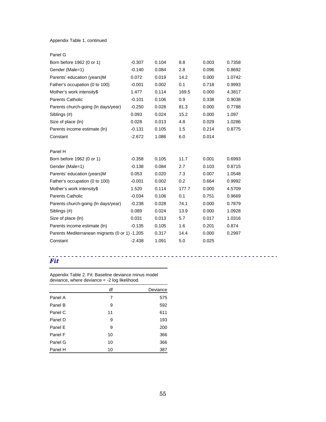#### Appendix Table 1, continued

| Panel G                                        |          |       |       |       |        |
|------------------------------------------------|----------|-------|-------|-------|--------|
| Born before 1962 (0 or 1)                      | $-0.307$ | 0.104 | 8.8   | 0.003 | 0.7358 |
| Gender (Male=1)                                | $-0.140$ | 0.084 | 2.8   | 0.096 | 0.8692 |
| Parents' education (years)M                    | 0.072    | 0.019 | 14.2  | 0.000 | 1.0742 |
| Father's occupation (0 to 100)                 | $-0.001$ | 0.002 | 0.1   | 0.718 | 0.9993 |
| Mother's work intensity\$                      | 1.477    | 0.114 | 169.5 | 0.000 | 4.3817 |
| <b>Parents Catholic</b>                        | $-0.101$ | 0.106 | 0.9   | 0.338 | 0.9038 |
| Parents church-going (In days/year)            | $-0.250$ | 0.028 | 81.3  | 0.000 | 0.7788 |
| Siblings (#)                                   | 0.093    | 0.024 | 15.2  | 0.000 | 1.097  |
| Size of place (ln)                             | 0.028    | 0.013 | 4.8   | 0.029 | 1.0286 |
| Parents income estimate (In)                   | $-0.131$ | 0.105 | 1.5   | 0.214 | 0.8775 |
| Constant                                       | $-2.672$ | 1.086 | 6.0   | 0.014 |        |
|                                                |          |       |       |       |        |
| Panel H                                        |          |       |       |       |        |
| Born before 1962 (0 or 1)                      | $-0.358$ | 0.105 | 11.7  | 0.001 | 0.6993 |
| Gender (Male=1)                                | $-0.138$ | 0.084 | 2.7   | 0.103 | 0.8715 |
| Parents' education (years)M                    | 0.053    | 0.020 | 7.3   | 0.007 | 1.0548 |
| Father's occupation (0 to 100)                 | $-0.001$ | 0.002 | 0.2   | 0.664 | 0.9992 |
| Mother's work intensity\$                      | 1.520    | 0.114 | 177.7 | 0.000 | 4.5709 |
| <b>Parents Catholic</b>                        | $-0.034$ | 0.106 | 0.1   | 0.751 | 0.9669 |
| Parents church-going (In days/year)            | $-0.238$ | 0.028 | 74.1  | 0.000 | 0.7879 |
| Siblings (#)                                   | 0.089    | 0.024 | 13.9  | 0.000 | 1.0928 |
| Size of place (ln)                             | 0.031    | 0.013 | 5.7   | 0.017 | 1.0316 |
| Parents income estimate (In)                   | $-0.135$ | 0.105 | 1.6   | 0.201 | 0.874  |
| Parents Mediterranean migrants (0 or 1) -1.205 |          | 0.317 | 14.4  | 0.000 | 0.2997 |
| Constant                                       | $-2.438$ | 1.091 | 5.0   | 0.025 |        |

# *Fit*

Appendix Table 2. Fit: Baseline deviance minus model deviance, where deviance = -2 log likelihood.

|         | df | Deviance |
|---------|----|----------|
| Panel A | 7  | 575      |
| Panel B | 9  | 592      |
| Panel C | 11 | 611      |
| Panel D | 9  | 193      |
| Panel E | 9  | 200      |
| Panel F | 10 | 366      |
| Panel G | 10 | 366      |
| Panel H | 10 | 387      |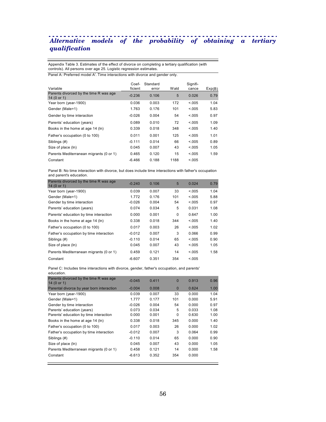# *Alternative models of the probability of obtaining a tertiary qualification*

Appendix Table 3. Estimates of the effect of divorce on completing a tertiary qualification (with controls). All persons over age 25. Logistic regression estimates.

Panel A: Preferred model A'. Time interactions with divorce and gender only.

| Variable                                              | Coef-<br>ficient | Standard<br>error | Wald | Signifi-<br>cance | Exp(B) |
|-------------------------------------------------------|------------------|-------------------|------|-------------------|--------|
| Parents divorced by the time R was age<br>14 (0 or 1) | $-0.236$         | 0.106             | 5    | 0.026             | 0.79   |
| Year born (year-1900)                                 | 0.036            | 0.003             | 172  | < 0.005           | 1.04   |
| Gender (Male=1)                                       | 1.763            | 0.176             | 101  | < 0.005           | 5.83   |
| Gender by time interaction                            | $-0.026$         | 0.004             | 54   | < 0.05            | 0.97   |
| Parents' education (years)                            | 0.089            | 0.010             | 72   | < 0.005           | 1.09   |
| Books in the home at age 14 (ln)                      | 0.339            | 0.018             | 348  | < 0.005           | 1.40   |
| Father's occupation (0 to 100)                        | 0.011            | 0.001             | 125  | < 0.005           | 1.01   |
| Siblings (#)                                          | $-0.111$         | 0.014             | 66   | < 0.005           | 0.89   |
| Size of place (ln)                                    | 0.045            | 0.007             | 43   | < 0.005           | 1.05   |
| Parents Mediterranean migrants (0 or 1)               | 0.465            | 0.120             | 15   | < 0.005           | 1.59   |
| Constant                                              | $-6.466$         | 0.188             | 1188 | < 0.005           |        |

Panel B: No time interaction with divorce, but does include time interactions with father's occupation and parent's education.

| Parents divorced by the time R was age<br>14(0 or 1) | $-0.240$ | 0.106 | 5   | 0.024   | 0.79 |
|------------------------------------------------------|----------|-------|-----|---------|------|
| Year born (year-1900)                                | 0.039    | 0.007 | 33  | < 0.05  | 1.04 |
| Gender (Male=1)                                      | 1.772    | 0.176 | 101 | < 0.05  | 5.88 |
| Gender by time interaction                           | $-0.026$ | 0.004 | 54  | < 0.005 | 0.97 |
| Parents' education (years)                           | 0.074    | 0.034 | 5   | 0.031   | 1.08 |
| Parents' education by time interaction               | 0.000    | 0.001 | 0   | 0.647   | 1.00 |
| Books in the home at age 14 (ln)                     | 0.338    | 0.018 | 344 | < 0.05  | 1.40 |
| Father's occupation (0 to 100)                       | 0.017    | 0.003 | 26  | < 0.005 | 1.02 |
| Father's occupation by time interaction              | $-0.012$ | 0.007 | 3   | 0.066   | 0.99 |
| Siblings (#)                                         | $-0.110$ | 0.014 | 65  | < 0.005 | 0.90 |
| Size of place (ln)                                   | 0.045    | 0.007 | 43  | < 0.005 | 1.05 |
| Parents Mediterranean migrants (0 or 1)              | 0.459    | 0.121 | 14  | < 0.005 | 1.58 |
| Constant                                             | $-6.607$ | 0.351 | 354 | < 0.005 |      |

Panel C: Includes time interactions with divorce, gender, father's occupation, and parents' education.

| Parents divorced by the time R was age<br>14 (0 or 1) | $-0.045$ | 0.411 | $\Omega$ | 0.913 | 0.96 |
|-------------------------------------------------------|----------|-------|----------|-------|------|
| Parental divorce by year born interaction             | $-0.004$ | 0.008 | $\Omega$ | 0.624 | 1.00 |
| Year born (year-1900)                                 | 0.039    | 0.007 | 33       | 0.000 | 1.04 |
| Gender (Male=1)                                       | 1.777    | 0.177 | 101      | 0.000 | 5.91 |
| Gender by time interaction                            | $-0.026$ | 0.004 | 54       | 0.000 | 0.97 |
| Parents' education (years)                            | 0.073    | 0.034 | 5        | 0.033 | 1.08 |
| Parents' education by time interaction                | 0.000    | 0.001 | 0        | 0.630 | 1.00 |
| Books in the home at age 14 (ln)                      | 0.338    | 0.018 | 345      | 0.000 | 1.40 |
| Father's occupation (0 to 100)                        | 0.017    | 0.003 | 26       | 0.000 | 1.02 |
| Father's occupation by time interaction               | $-0.012$ | 0.007 | 3        | 0.064 | 0.99 |
| Siblings (#)                                          | $-0.110$ | 0.014 | 65       | 0.000 | 0.90 |
| Size of place (ln)                                    | 0.045    | 0.007 | 43       | 0.000 | 1.05 |
| Parents Mediterranean migrants (0 or 1)               | 0.458    | 0.121 | 14       | 0.000 | 1.58 |
| Constant                                              | $-6.613$ | 0.352 | 354      | 0.000 |      |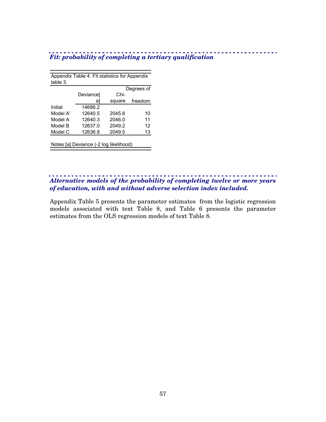| . |  |                                                         |
|---|--|---------------------------------------------------------|
|   |  | Fit: probability of completing a tertiary qualification |

| Appendix Table 4. Fit statistics for Appendix |           |        |            |  |  |  |  |
|-----------------------------------------------|-----------|--------|------------|--|--|--|--|
| table 3.                                      |           |        |            |  |  |  |  |
|                                               |           |        | Degrees of |  |  |  |  |
|                                               | Deviancel | Chi-   |            |  |  |  |  |
|                                               | al        | square | freedom    |  |  |  |  |
| Initial                                       | 14686.2   |        |            |  |  |  |  |
| Model A'                                      | 12640.5   | 2045.8 | 10         |  |  |  |  |
| Model A                                       | 12640.3   | 2046.0 | 11         |  |  |  |  |
| Model B                                       | 12637.0   | 2049.2 | 12         |  |  |  |  |
| Model C                                       | 12636.8   | 2049.5 | 13         |  |  |  |  |
|                                               |           |        |            |  |  |  |  |
| Notes: [a] Deviance (-2 log likelihood)       |           |        |            |  |  |  |  |

## *Alternative models of the probability of completing twelve or more years of education, with and without adverse selection index included.*

. . . . . . . . . . . . . . . .

Appendix Table 5 presents the parameter estimates from the logistic regression models associated with text Table 8, and Table 6 presents the parameter estimates from the OLS regression models of text Table 8.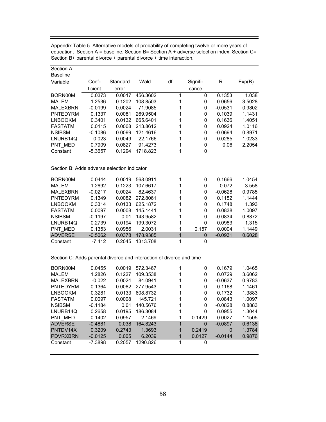| Section A:                                  |           |          |          |              |              |           |        |
|---------------------------------------------|-----------|----------|----------|--------------|--------------|-----------|--------|
| <b>Baseline</b>                             |           |          |          |              |              |           |        |
| Variable                                    | Coef-     | Standard | Wald     | df           | Signifi-     | R         | Exp(B) |
|                                             | ficient   | error    |          |              | cance        |           |        |
| BORN00M                                     | 0.0373    | 0.0017   | 456.3602 | 1            | 0            | 0.1353    | 1.038  |
| <b>MALEM</b>                                | 1.2536    | 0.1202   | 108.8503 | 1            | 0            | 0.0656    | 3.5028 |
| <b>MALEXBRN</b>                             | $-0.0199$ | 0.0024   | 71.9085  | 1            | 0            | $-0.0531$ | 0.9802 |
| <b>PNTEDYRM</b>                             | 0.1337    | 0.0081   | 269.9504 | 1            | 0            | 0.1039    | 1.1431 |
| <b>LNBOOKM</b>                              | 0.3401    | 0.0132   | 665.6401 | 1            | 0            | 0.1636    | 1.4051 |
| <b>FASTATM</b>                              | 0.0115    | 0.0008   | 213.8612 | 1            | $\pmb{0}$    | 0.0924    | 1.0116 |
| <b>NSIBSM</b>                               | $-0.1086$ | 0.0099   | 121.4616 | 1            | $\pmb{0}$    | $-0.0694$ | 0.8971 |
| LNURB14Q                                    | 0.023     | 0.0049   | 22.1766  | 1            | 0            | 0.0285    | 1.0233 |
| PNT MED                                     | 0.7909    | 0.0827   | 91.4273  | 1            | 0            | 0.06      | 2.2054 |
| Constant                                    | $-5.3657$ | 0.1294   | 1718.823 | 1            | $\mathbf{0}$ |           |        |
|                                             |           |          |          |              |              |           |        |
| Section B: Adds adverse selection indicator |           |          |          |              |              |           |        |
| BORN00M                                     | 0.0444    | 0.0019   | 568.0911 | 1            | 0            | 0.1666    | 1.0454 |
| <b>MALEM</b>                                | 1.2692    | 0.1223   | 107.6617 | 1            | 0            | 0.072     | 3.558  |
| <b>MALEXBRN</b>                             | $-0.0217$ | 0.0024   | 82.4637  | 1            | 0            | $-0.0628$ | 0.9785 |
| <b>PNTEDYRM</b>                             | 0.1349    | 0.0082   | 272.8061 | 1            | 0            | 0.1152    | 1.1444 |
| <b>LNBOOKM</b>                              | 0.3314    | 0.0133   | 625.1872 | 1            | 0            | 0.1748    | 1.393  |
| <b>FASTATM</b>                              | 0.0097    | 0.0008   | 145.1441 | 1            | $\pmb{0}$    | 0.0838    | 1.0097 |
| <b>NSIBSM</b>                               | $-0.1197$ | 0.01     | 143.9582 | 1            | $\pmb{0}$    | $-0.0834$ | 0.8872 |
| LNURB14Q                                    | 0.2739    | 0.0194   | 199.3072 | 1            | 0            | 0.0983    | 1.315  |
| PNT MED                                     | 0.1353    | 0.0956   | 2.0031   | 1            | 0.157        | 0.0004    | 1.1449 |
| <b>ADVERSE</b>                              | $-0.5062$ | 0.0378   | 178.9385 | $\mathbf{1}$ | $\pmb{0}$    | $-0.0931$ | 0.6028 |
| Constant                                    | $-7.412$  | 0.2045   | 1313.708 | 1            | 0            |           |        |
|                                             |           |          |          |              |              |           |        |
|                                             |           |          |          |              |              |           |        |

Appendix Table 5. Alternative models of probability of completing twelve or more years of education, Section A = baseline, Section B= Section A + adverse selection index, Section C= Section B+ parental divorce + parental divorce + time interaction.

Section C: Adds parental divorce and interaction of divorce and time

| BORN00M         | 0.0455    | 0.0019 | 572.3467 |   | 0      | 0.1679    | 1.0465 |
|-----------------|-----------|--------|----------|---|--------|-----------|--------|
| <b>MALEM</b>    | 1.2826    | 0.1227 | 109.3538 |   | 0      | 0.0729    | 3.6062 |
| <b>MALEXBRN</b> | $-0.022$  | 0.0024 | 84.0941  |   | 0      | $-0.0637$ | 0.9783 |
| <b>PNTFDYRM</b> | 0.1364    | 0.0082 | 277.9543 |   | 0      | 0.1168    | 1.1461 |
| <b>LNBOOKM</b>  | 0.3281    | 0.0133 | 608.8732 |   | 0      | 0.1732    | 1.3883 |
| <b>FASTATM</b>  | 0.0097    | 0.0008 | 145.721  |   | 0      | 0.0843    | 1.0097 |
| <b>NSIBSM</b>   | $-0.1184$ | 0.01   | 140.5676 |   | 0      | $-0.0828$ | 0.8883 |
| LNURB14Q        | 0.2658    | 0.0195 | 186.3084 |   | 0      | 0.0955    | 1.3044 |
| PNT MED         | 0.1402    | 0.0957 | 2.1469   |   | 0.1429 | 0.0027    | 1.1505 |
| <b>ADVERSE</b>  | $-0.4881$ | 0.038  | 164.8243 | 1 | 0      | $-0.0897$ | 0.6138 |
| PNTDV14X        | 0.3209    | 0.2743 | 1.3693   |   | 0.2419 | $\Omega$  | 1.3784 |
| <b>PDVRXBRN</b> | $-0.0125$ | 0.005  | 6.2039   |   | 0.0127 | $-0.0144$ | 0.9876 |
| Constant        | $-7.3898$ | 0.2057 | 1290.826 |   | 0      |           |        |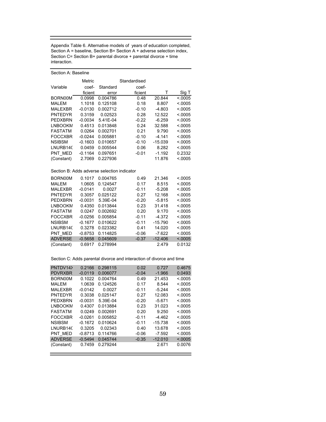Appendix Table 6. Alternative models of years of education completed, Section A = baseline, Section B= Section A + adverse selection index, Section C= Section B+ parental divorce + parental divorce + time interaction.

| Section A: Baseline                         |               |          |              |           |          |  |
|---------------------------------------------|---------------|----------|--------------|-----------|----------|--|
|                                             | <b>Metric</b> |          | Standardised |           |          |  |
| Variable                                    | coef-         | Standard | coef-        |           |          |  |
|                                             | ficient       | error    | ficient      | т         | Sig T    |  |
| BORN00M                                     | 0.0998        | 0.004786 | 0.48         | 20.844    | < 0005   |  |
| <b>MALEM</b>                                | 1.1018        | 0.125108 | 0.18         | 8.807     | < 0.0005 |  |
| <b>MALEXBR</b>                              | $-0.0130$     | 0.002712 | $-0.10$      | $-4.803$  | < 0.0005 |  |
| <b>PNTEDYR</b>                              | 0.3159        | 0.02523  | 0.28         | 12.522    | < 0.0005 |  |
| <b>PEDXBRN</b>                              | $-0.0034$     | 5.41E-04 | $-0.22$      | $-6.259$  | < 0.0005 |  |
| <b>LNBOOKM</b>                              | 0.4513        | 0.013848 | 0.24         | 32.588    | < 0.0005 |  |
| <b>FASTATM</b>                              | 0.0264        | 0.002701 | 0.21         | 9.790     | < 0005   |  |
| <b>FOCCXBR</b>                              | $-0.0244$     | 0.005881 | $-0.10$      | $-4.141$  | < 0.0005 |  |
| <b>NSIBSM</b>                               | $-0.1603$     | 0.010657 | $-0.10$      | $-15.039$ | < 0005   |  |
| LNURB140                                    | 0.0459        | 0.005544 | 0.06         | 8.282     | < 0.0005 |  |
| PNT MED                                     | $-0.1164$     | 0.097651 | $-0.01$      | $-1.192$  | 0.2332   |  |
| (Constant)                                  | 2.7069        | 0.227936 |              | 11.876    | < 0.0005 |  |
| Section B: Adds adverse selection indicator |               |          |              |           |          |  |
| BORN00M                                     | 0.1017        | 0.004765 | 0.49         | 21.346    | < 0.0005 |  |
| <b>MALEM</b>                                | 1.0605        | 0.124547 | 0.17         | 8.515     | < 0.0005 |  |
| <b>MALEXBR</b>                              | $-0.0141$     | 0.0027   | $-0.11$      | $-5.208$  | < 0.0005 |  |
| <b>PNTEDYR</b>                              | 0.3057        | 0.025122 | 0.27         | 12.168    | < 0.0005 |  |
| <b>PEDXBRN</b>                              | $-0.0031$     | 5.39E-04 | $-0.20$      | $-5.815$  | < 0.0005 |  |
| <b>LNBOOKM</b>                              | 0.4350        | 0.013844 | 0.23         | 31.418    | < 0.0005 |  |
| <b>FASTATM</b>                              | 0.0247        | 0.002692 | 0.20         | 9.170     | < 0.0005 |  |
| <b>FOCCXBR</b>                              | $-0.0256$     | 0.005854 | $-0.11$      | $-4.372$  | < 0.0005 |  |
| <b>NSIBSM</b>                               | $-0.1677$     | 0.010622 | $-0.11$      | $-15.790$ | < 0.0005 |  |
| LNURB140                                    | 0.3278        | 0.023382 | 0.41         | 14.020    | < 0.0005 |  |
| PNT MED                                     | $-0.8753$     | 0.114825 | $-0.06$      | $-7.622$  | < 0.0005 |  |
| <b>ADVERSE</b>                              | $-0.5658$     | 0.045609 | $-0.37$      | $-12.406$ | < .0005  |  |
| (Constant)                                  | 0.6917        | 0.278994 |              | 2.479     | 0.0132   |  |

Section C: Adds parental divorce and interaction of divorce and time

| PNTDV14>              | 0.2166    | 0.298115 | 0.02    | 0.727     | 0.4675   |
|-----------------------|-----------|----------|---------|-----------|----------|
| <b>PDVRXBR</b>        | $-0.0119$ | 0.006077 | $-0.04$ | $-1.966$  | 0.0493   |
| BORN00M               | 0.1022    | 0.004764 | 0.49    | 21.453    | < 0.0005 |
| MALEM                 | 1.0639    | 0.124526 | 0.17    | 8.544     | < 0.0005 |
| <b>MALEXBR</b>        | $-0.0142$ | 0.0027   | $-0.11$ | $-5.244$  | < 0.0005 |
| <b>PNTEDYR</b>        | 0.3038    | 0.025147 | 0.27    | 12.083    | < 0.0005 |
| <b>PFDXBRN</b>        | $-0.0031$ | 5.39E-04 | $-0.20$ | $-5.671$  | < 0.0005 |
| LNBOOKM               | 0.4307    | 0.013884 | 0.23    | 31.023    | < 0.0005 |
| <b>FASTATM</b>        | 0.0249    | 0.002691 | 0.20    | 9.250     | < 0005   |
| <b>FOCCXBR</b>        | $-0.0261$ | 0.005852 | $-0.11$ | $-4.462$  | < 0.0005 |
| <b>NSIBSM</b>         | $-0.1672$ | 0.010624 | $-0.11$ | $-15.738$ | < 0.0005 |
| LNURB <sub>14</sub> C | 0.3205    | 0.02343  | 0.40    | 13.678    | < 0.0005 |
| PNT MED               | $-0.8713$ | 0.114766 | $-0.06$ | $-7.592$  | < 0.0005 |
| <b>ADVERSE</b>        | $-0.5494$ | 0.045744 | $-0.35$ | $-12.010$ | < 0.0005 |
| (Constant)            | 0.7459    | 0.279244 |         | 2.671     | 0.0076   |
|                       |           |          |         |           |          |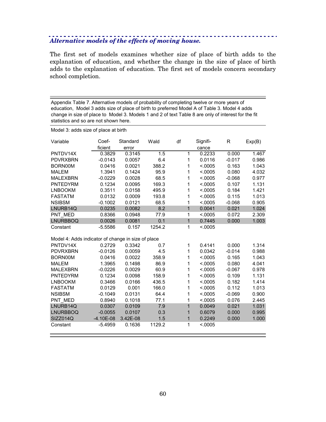# *Alternative models of the effects of moving house.*

The first set of models examines whether size of place of birth adds to the explanation of education, and whether the change in the size of place of birth adds to the explanation of education. The first set of models concern secondary school completion.

Appendix Table 7. Alternative models of probability of completing twelve or more years of education, Model 3 adds size of place of birth to preferred Model A of Table 3. Model 4 adds change in size of place to Model 3. Models 1 and 2 of text Table 8 are only of interest for the fit statistics and so are not shown here.

| Model 3: adds size of place at birth               |             |          |        |                |          |          |        |
|----------------------------------------------------|-------------|----------|--------|----------------|----------|----------|--------|
| Variable                                           | Coef-       | Standard | Wald   | df             | Signifi- | R        | Exp(B) |
|                                                    | ficient     | error    |        |                | cance    |          |        |
| PNTDV14X                                           | 0.3829      | 0.3145   | 1.5    | 1              | 0.2233   | 0.000    | 1.467  |
| <b>PDVRXBRN</b>                                    | $-0.0143$   | 0.0057   | 6.4    | 1              | 0.0116   | $-0.017$ | 0.986  |
| BORN00M                                            | 0.0416      | 0.0021   | 388.2  | 1              | < .0005  | 0.163    | 1.043  |
| <b>MALEM</b>                                       | 1.3941      | 0.1424   | 95.9   | 1              | < 0005   | 0.080    | 4.032  |
| <b>MALEXBRN</b>                                    | $-0.0229$   | 0.0028   | 68.5   | 1              | < 0.0005 | $-0.068$ | 0.977  |
| <b>PNTEDYRM</b>                                    | 0.1234      | 0.0095   | 169.3  | 1              | < .0005  | 0.107    | 1.131  |
| <b>LNBOOKM</b>                                     | 0.3511      | 0.0158   | 495.9  | 1              | < .0005  | 0.184    | 1.421  |
| <b>FASTATM</b>                                     | 0.0132      | 0.0009   | 193.8  | 1              | < 0.0005 | 0.115    | 1.013  |
| <b>NSIBSM</b>                                      | $-0.1002$   | 0.0121   | 68.5   | 1              | < .0005  | $-0.068$ | 0.905  |
| LNURB14Q                                           | 0.0235      | 0.0082   | 8.2    | $\overline{1}$ | 0.0041   | 0.021    | 1.024  |
| PNT MED                                            | 0.8366      | 0.0948   | 77.9   | 1              | < 0.0005 | 0.072    | 2.309  |
| <b>LNURBBOQ</b>                                    | 0.0026      | 0.0081   | 0.1    | $\overline{1}$ | 0.7445   | 0.000    | 1.003  |
| Constant                                           | $-5.5586$   | 0.157    | 1254.2 | 1              | < 0005   |          |        |
| Model 4: Adds indicator of change in size of place |             |          |        |                |          |          |        |
| PNTDV14X                                           | 0.2729      | 0.3342   | 0.7    | 1              | 0.4141   | 0.000    | 1.314  |
| <b>PDVRXBRN</b>                                    | $-0.0126$   | 0.0059   | 4.5    | 1              | 0.0342   | $-0.014$ | 0.988  |
| BORN00M                                            | 0.0416      | 0.0022   | 358.9  | 1              | < .0005  | 0.165    | 1.043  |
| <b>MALEM</b>                                       | 1.3965      | 0.1498   | 86.9   | 1              | < 0.0005 | 0.080    | 4.041  |
| <b>MALEXBRN</b>                                    | $-0.0226$   | 0.0029   | 60.9   | 1              | < .0005  | $-0.067$ | 0.978  |
| PNTEDYRM                                           | 0.1234      | 0.0098   | 158.9  | 1              | < .0005  | 0.109    | 1.131  |
| <b>LNBOOKM</b>                                     | 0.3466      | 0.0166   | 436.5  | 1              | < 0005   | 0.182    | 1.414  |
| <b>FASTATM</b>                                     | 0.0129      | 0.001    | 166.0  | 1              | < .0005  | 0.112    | 1.013  |
| <b>NSIBSM</b>                                      | $-0.1049$   | 0.0131   | 64.4   | 1              | < .0005  | $-0.069$ | 0.900  |
| PNT MED                                            | 0.8940      | 0.1018   | 77.1   | 1              | < .0005  | 0.076    | 2.445  |
| LNURB14Q                                           | 0.0307      | 0.0109   | 7.9    | 1              | 0.0049   | 0.021    | 1.031  |
| <b>LNURBBOQ</b>                                    | $-0.0055$   | 0.0107   | 0.3    | 1              | 0.6079   | 0.000    | 0.995  |
| SIZZ014Q                                           | $-4.10E-08$ | 3.42E-08 | 1.5    | $\mathbf{1}$   | 0.2249   | 0.000    | 1.000  |
| Constant                                           | $-5.4959$   | 0.1636   | 1129.2 | 1              | < 0.0005 |          |        |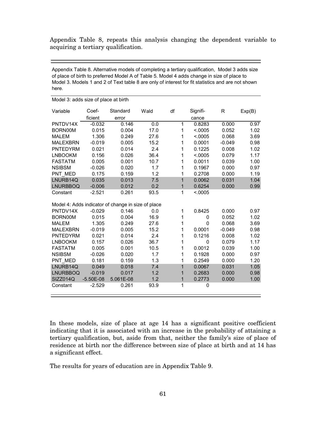Appendix Table 8, repeats this analysis changing the dependent variable to acquiring a tertiary qualification.

Appendix Table 8. Alternative models of completing a tertiary qualification, Model 3 adds size of place of birth to preferred Model A of Table 5. Model 4 adds change in size of place to Model 3. Models 1 and 2 of Text table 8 are only of interest for fit statistics and are not shown here.

| modor of addo orze or prace                        |             |           |      |              |          |          |        |  |
|----------------------------------------------------|-------------|-----------|------|--------------|----------|----------|--------|--|
| Variable                                           | Coef-       | Standard  | Wald | df           | Signifi- | R        | Exp(B) |  |
|                                                    | ficient     | error     |      |              | cance    |          |        |  |
| PNTDV14X                                           | $-0.032$    | 0.146     | 0.0  | 1            | 0.8283   | 0.000    | 0.97   |  |
| BORN00M                                            | 0.015       | 0.004     | 17.0 | 1            | < 0.0005 | 0.052    | 1.02   |  |
| <b>MALEM</b>                                       | 1.306       | 0.249     | 27.6 | 1            | < .0005  | 0.068    | 3.69   |  |
| <b>MALEXBRN</b>                                    | $-0.019$    | 0.005     | 15.2 | 1            | 0.0001   | $-0.049$ | 0.98   |  |
| PNTEDYRM                                           | 0.021       | 0.014     | 2.4  | 1            | 0.1225   | 0.008    | 1.02   |  |
| <b>LNBOOKM</b>                                     | 0.156       | 0.026     | 36.4 | 1            | < .0005  | 0.079    | 1.17   |  |
| <b>FASTATM</b>                                     | 0.005       | 0.001     | 10.7 | 1            | 0.0011   | 0.039    | 1.00   |  |
| <b>NSIBSM</b>                                      | $-0.026$    | 0.020     | 1.7  | 1            | 0.1967   | 0.000    | 0.97   |  |
| PNT MED                                            | 0.175       | 0.159     | 1.2  | 1            | 0.2708   | 0.000    | 1.19   |  |
| LNURB14Q                                           | 0.035       | 0.013     | 7.5  | $\mathbf{1}$ | 0.0062   | 0.031    | 1.04   |  |
| <b>LNURBBOQ</b>                                    | $-0.006$    | 0.012     | 0.2  | 1            | 0.6254   | 0.000    | 0.99   |  |
| Constant                                           | $-2.521$    | 0.261     | 93.5 | 1            | < 0.0005 |          |        |  |
|                                                    |             |           |      |              |          |          |        |  |
| Model 4: Adds indicator of change in size of place |             |           |      |              |          |          |        |  |
| PNTDV14X                                           | $-0.029$    | 0.146     | 0.0  | 1            | 0.8425   | 0.000    | 0.97   |  |
| BORN00M                                            | 0.015       | 0.004     | 16.9 | 1            | 0        | 0.052    | 1.02   |  |
| <b>MALEM</b>                                       | 1.305       | 0.249     | 27.6 | 1            | 0        | 0.068    | 3.69   |  |
| <b>MALEXBRN</b>                                    | $-0.019$    | 0.005     | 15.2 | 1            | 0.0001   | $-0.049$ | 0.98   |  |
| <b>PNTEDYRM</b>                                    | 0.021       | 0.014     | 2.4  | 1            | 0.1216   | 0.008    | 1.02   |  |
| <b>LNBOOKM</b>                                     | 0.157       | 0.026     | 36.7 | 1            | 0        | 0.079    | 1.17   |  |
| <b>FASTATM</b>                                     | 0.005       | 0.001     | 10.5 | 1            | 0.0012   | 0.039    | 1.00   |  |
| <b>NSIBSM</b>                                      | $-0.026$    | 0.020     | 1.7  | 1            | 0.1928   | 0.000    | 0.97   |  |
| PNT MED                                            | 0.181       | 0.159     | 1.3  | 1            | 0.2549   | 0.000    | 1.20   |  |
| LNURB14Q                                           | 0.049       | 0.018     | 7.4  | 1            | 0.0067   | 0.031    | 1.05   |  |
| <b>LNURBBOQ</b>                                    | $-0.019$    | 0.017     | 1.2  | 1            | 0.2683   | 0.000    | 0.98   |  |
| SIZZ014Q                                           | $-5.50E-08$ | 5.061E-08 | 1.2  | 1            | 0.2773   | 0.000    | 1.00   |  |
| Constant                                           | $-2.529$    | 0.261     | 93.9 | 1            | 0        |          |        |  |
|                                                    |             |           |      |              |          |          |        |  |

Model 3: adds size of place at birth

In these models, size of place at age 14 has a significant positive coefficient indicating that it is associated with an increase in the probability of attaining a tertiary qualification, but, aside from that, neither the family's size of place of residence at birth nor the difference between size of place at birth and at 14 has a significant effect.

The results for years of education are in Appendix Table 9.